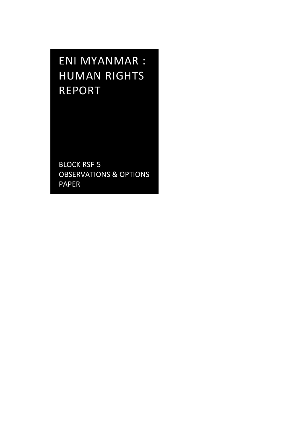ENI MYANMAR : HUMAN RIGHTS REPORT

BLOCK RSF-5 OBSERVATIONS & OPTIONS PAPER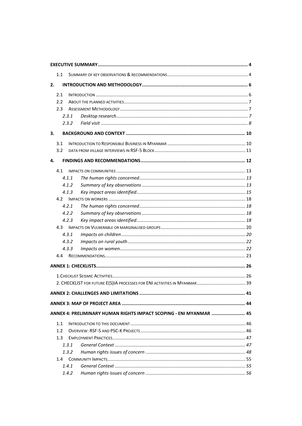| 1.1                                                                |  |
|--------------------------------------------------------------------|--|
| 2.                                                                 |  |
| 2.1                                                                |  |
| 2.2                                                                |  |
| 2.3                                                                |  |
| 2.3.1                                                              |  |
| 2.3.2                                                              |  |
| 3.                                                                 |  |
|                                                                    |  |
| 3.1                                                                |  |
| 3.2                                                                |  |
| 4.                                                                 |  |
| 4.1                                                                |  |
| 4.1.1                                                              |  |
| 4.1.2                                                              |  |
| 4.1.3                                                              |  |
| 4.2                                                                |  |
| 4.2.1                                                              |  |
| 4.2.2                                                              |  |
| 4.2.3                                                              |  |
|                                                                    |  |
| 4.3.1                                                              |  |
| 4.3.2                                                              |  |
| 4.3.3                                                              |  |
| 4.4                                                                |  |
|                                                                    |  |
|                                                                    |  |
|                                                                    |  |
|                                                                    |  |
|                                                                    |  |
| ANNEX 4: PRELIMINARY HUMAN RIGHTS IMPACT SCOPING - ENI MYANMAR  45 |  |
| 1.1                                                                |  |
| 1.2                                                                |  |
| 1.3                                                                |  |
| 1.3.1                                                              |  |
| 1.3.2                                                              |  |
| 1.4                                                                |  |
| 1.4.1                                                              |  |
| 1.4.2                                                              |  |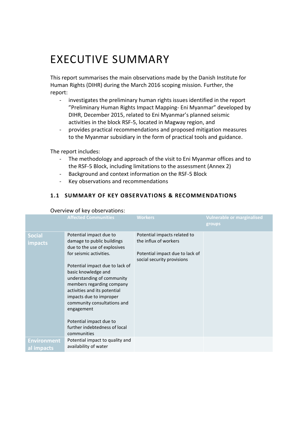# <span id="page-3-0"></span>EXECUTIVE SUMMARY

This report summarises the main observations made by the Danish Institute for Human Rights (DIHR) during the March 2016 scoping mission. Further, the report:

- investigates the preliminary human rights issues identified in the report "Preliminary Human Rights Impact Mapping- Eni Myanmar" developed by DIHR, December 2015, related to Eni Myanmar's planned seismic activities in the block RSF-5, located in Magway region, and
- provides practical recommendations and proposed mitigation measures to the Myanmar subsidiary in the form of practical tools and guidance.

The report includes:

- The methodology and approach of the visit to Eni Myanmar offices and to the RSF-5 Block, including limitations to the assessment (Annex 2)
- Background and context information on the RSF-5 Block
- Key observations and recommendations

# <span id="page-3-1"></span>**1.1 SUMMARY OF KEY OBSERVATIONS & RECOMMENDATIONS**

|                                                       | <b>Affected Communities</b>                                                                                                                                                                                                                                                                                                                                                                                                                                                          | <b>Workers</b>                                                                                                         | <b>Vulnerable or marginalised</b><br>groups |
|-------------------------------------------------------|--------------------------------------------------------------------------------------------------------------------------------------------------------------------------------------------------------------------------------------------------------------------------------------------------------------------------------------------------------------------------------------------------------------------------------------------------------------------------------------|------------------------------------------------------------------------------------------------------------------------|---------------------------------------------|
| <b>Social</b><br><i>impacts</i><br><b>Environment</b> | Potential impact due to<br>damage to public buildings<br>due to the use of explosives<br>for seismic activities.<br>Potential impact due to lack of<br>basic knowledge and<br>understanding of community<br>members regarding company<br>activities and its potential<br>impacts due to improper<br>community consultations and<br>engagement<br>Potential impact due to<br>further indebtedness of local<br>communities<br>Potential impact to quality and<br>availability of water | Potential impacts related to<br>the influx of workers<br>Potential impact due to lack of<br>social security provisions |                                             |
| al impacts                                            |                                                                                                                                                                                                                                                                                                                                                                                                                                                                                      |                                                                                                                        |                                             |

## Overview of key observations: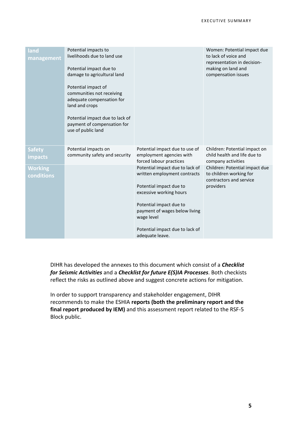| land<br>management              | Potential impacts to<br>livelihoods due to land use<br>Potential impact due to<br>damage to agricultural land<br>Potential impact of<br>communities not receiving<br>adequate compensation for<br>land and crops<br>Potential impact due to lack of<br>payment of compensation for<br>use of public land |                                                                                                                                                                                                                                                       | Women: Potential impact due<br>to lack of voice and<br>representation in decision-<br>making on land and<br>compensation issues |
|---------------------------------|----------------------------------------------------------------------------------------------------------------------------------------------------------------------------------------------------------------------------------------------------------------------------------------------------------|-------------------------------------------------------------------------------------------------------------------------------------------------------------------------------------------------------------------------------------------------------|---------------------------------------------------------------------------------------------------------------------------------|
| <b>Safety</b><br><b>impacts</b> | Potential impacts on<br>community safety and security                                                                                                                                                                                                                                                    | Potential impact due to use of<br>employment agencies with<br>forced labour practices                                                                                                                                                                 | Children: Potential impact on<br>child health and life due to<br>company activities                                             |
| <b>Working</b><br>conditions    |                                                                                                                                                                                                                                                                                                          | Potential impact due to lack of<br>written employment contracts<br>Potential impact due to<br>excessive working hours<br>Potential impact due to<br>payment of wages below living<br>wage level<br>Potential impact due to lack of<br>adequate leave. | Children: Potential impact due<br>to children working for<br>contractors and service<br>providers                               |

DIHR has developed the annexes to this document which consist of a *Checklist for Seismic Activities* and a *Checklist for future E(S)IA Processes*. Both checkists reflect the risks as outlined above and suggest concrete actions for mitigation.

In order to support transparency and stakeholder engagement, DIHR recommends to make the ESHIA **reports (both the preliminary report and the final report produced by IEM)** and this assessment report related to the RSF-5 Block public.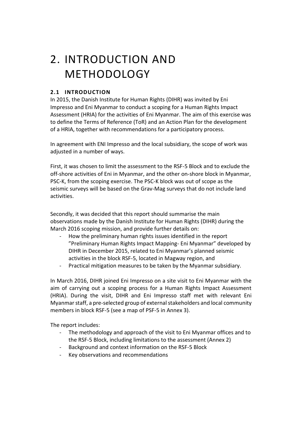# <span id="page-5-0"></span>2. INTRODUCTION AND METHODOLOGY

# <span id="page-5-1"></span>**2.1 INTRODUCTION**

In 2015, the Danish Institute for Human Rights (DIHR) was invited by Eni Impresso and Eni Myanmar to conduct a scoping for a Human Rights Impact Assessment (HRIA) for the activities of Eni Myanmar. The aim of this exercise was to define the Terms of Reference (ToR) and an Action Plan for the development of a HRIA, together with recommendations for a participatory process.

In agreement with ENI Impresso and the local subsidiary, the scope of work was adjusted in a number of ways.

First, it was chosen to limit the assessment to the RSF-5 Block and to exclude the off-shore activities of Eni in Myanmar, and the other on-shore block in Myanmar, PSC-K, from the scoping exercise. The PSC-K block was out of scope as the seismic surveys will be based on the Grav-Mag surveys that do not include land activities.

Secondly, it was decided that this report should summarise the main observations made by the Danish Institute for Human Rights (DIHR) during the March 2016 scoping mission, and provide further details on:

- How the preliminary human rights issues identified in the report "Preliminary Human Rights Impact Mapping- Eni Myanmar" developed by DIHR in December 2015, related to Eni Myanmar's planned seismic activities in the block RSF-5, located in Magway region, and
- Practical mitigation measures to be taken by the Myanmar subsidiary.

In March 2016, DIHR joined Eni Impresso on a site visit to Eni Myanmar with the aim of carrying out a scoping process for a Human Rights Impact Assessment (HRIA). During the visit, DIHR and Eni Impresso staff met with relevant Eni Myanmar staff, a pre-selected group of external stakeholders and local community members in block RSF-5 (see a map of PSF-5 in Annex 3).

The report includes:

- The methodology and approach of the visit to Eni Myanmar offices and to the RSF-5 Block, including limitations to the assessment (Annex 2)
- Background and context information on the RSF-5 Block
- Key observations and recommendations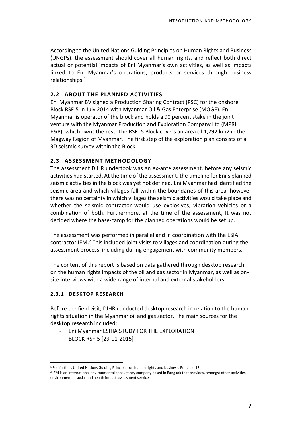According to the United Nations Guiding Principles on Human Rights and Business (UNGPs), the assessment should cover all human rights, and reflect both direct actual or potential impacts of Eni Myanmar's own activities, as well as impacts linked to Eni Myanmar's operations, products or services through business relationships.<sup>1</sup>

## <span id="page-6-0"></span>**2.2 ABOUT THE PLANNED ACTIVITIES**

Eni Myanmar BV signed a Production Sharing Contract (PSC) for the onshore Block RSF-5 in July 2014 with Myanmar Oil & Gas Enterprise (MOGE). Eni Myanmar is operator of the block and holds a 90 percent stake in the joint venture with the Myanmar Production and Exploration Company Ltd (MPRL E&P), which owns the rest. The RSF- 5 Block covers an area of 1,292 km2 in the Magway Region of Myanmar. The first step of the exploration plan consists of a 3D seismic survey within the Block.

## <span id="page-6-1"></span>**2.3 ASSESSMENT METHODOLOGY**

The assessment DIHR undertook was an ex-ante assessment, before any seismic activities had started. At the time of the assessment, the timeline for Eni's planned seismic activities in the block was yet not defined. Eni Myanmar had identified the seismic area and which villages fall within the boundaries of this area, however there was no certainty in which villages the seismic activities would take place and whether the seismic contractor would use explosives, vibration vehicles or a combination of both. Furthermore, at the time of the assessment, It was not decided where the base-camp for the planned operations would be set up.

The assessment was performed in parallel and in coordination with the ESIA contractor IEM. <sup>2</sup> This included joint visits to villages and coordination during the assessment process, including during engagement with community members.

The content of this report is based on data gathered through desktop research on the human rights impacts of the oil and gas sector in Myanmar, as well as onsite interviews with a wide range of internal and external stakeholders.

## <span id="page-6-2"></span>**2.3.1 DESKTOP RESEARCH**

 $\overline{a}$ 

Before the field visit, DIHR conducted desktop research in relation to the human rights situation in the Myanmar oil and gas sector. The main sources for the desktop research included:

- Eni Myanmar ESHIA STUDY FOR THE EXPLORATION
- BLOCK RSF-5 [29-01-2015]

<sup>1</sup> See further, United Nations Guiding Principles on human rights and business, Principle 13.

<sup>2</sup> IEM is an international environmental consultancy company based in Bangkok that provides, amongst other activities, environmental, social and health impact assessment services.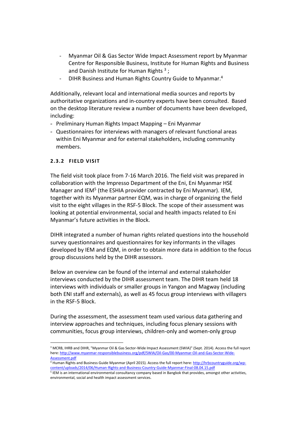- Myanmar Oil & Gas Sector Wide Impact Assessment report by Myanmar Centre for Responsible Business, Institute for Human Rights and Business and Danish Institute for Human Rights  $3$ ;
- DIHR Business and Human Rights Country Guide to Myanmar.<sup>4</sup>

Additionally, relevant local and international media sources and reports by authoritative organizations and in-country experts have been consulted. Based on the desktop literature review a number of documents have been developed, including:

- Preliminary Human Rights Impact Mapping Eni Myanmar
- Questionnaires for interviews with managers of relevant functional areas within Eni Myanmar and for external stakeholders, including community members.

## <span id="page-7-0"></span>**2.3.2 FIELD VISIT**

The field visit took place from 7-16 March 2016. The field visit was prepared in collaboration with the Impresso Department of the Eni, Eni Myanmar HSE Manager and IEM<sup>5</sup> (the ESHIA provider contracted by Eni Myanmar). IEM, together with its Myanmar partner EQM, was in charge of organizing the field visit to the eight villages in the RSF-5 Block. The scope of their assessment was looking at potential environmental, social and health impacts related to Eni Myanmar's future activities in the Block.

DIHR integrated a number of human rights related questions into the household survey questionnaires and questionnaires for key informants in the villages developed by IEM and EQM, in order to obtain more data in addition to the focus group discussions held by the DIHR assessors.

Below an overview can be found of the internal and external stakeholder interviews conducted by the DIHR assessment team. The DIHR team held 18 interviews with individuals or smaller groups in Yangon and Magway (including both ENI staff and externals), as well as 45 focus group interviews with villagers in the RSF-5 Block.

During the assessment, the assessment team used various data gathering and interview approaches and techniques, including focus plenary sessions with communities, focus group interviews, children-only and women-only group

- <sup>4</sup> Human Rights and Business Guide Myanmar (April 2015). Access the full report here[: http://hrbcountryguide.org/wp](http://hrbcountryguide.org/wp-content/uploads/2014/06/Human-Rights-and-Business-Country-Guide-Myanmar-Final-08.04.15.pdf)[content/uploads/2014/06/Human-Rights-and-Business-Country-Guide-Myanmar-Final-08.04.15.pdf](http://hrbcountryguide.org/wp-content/uploads/2014/06/Human-Rights-and-Business-Country-Guide-Myanmar-Final-08.04.15.pdf)
- 5 IEM is an international environmental consultancy company based in Bangkok that provides, amongst other activities, environmental, social and health impact assessment services.

 $\overline{a}$ <sup>3</sup> MCRB, IHRB and DIHR, "Myanmar Oil & Gas Sector-Wide Impact Assessment (SWIA)" (Sept. 2014). Access the full report here[: http://www.myanmar-responsiblebusiness.org/pdf/SWIA/Oil-Gas/00-Myanmar-Oil-and-Gas-Sector-Wide-](http://www.myanmar-responsiblebusiness.org/pdf/SWIA/Oil-Gas/00-Myanmar-Oil-and-Gas-Sector-Wide-Assessment.pdf)[Assessment.pdf](http://www.myanmar-responsiblebusiness.org/pdf/SWIA/Oil-Gas/00-Myanmar-Oil-and-Gas-Sector-Wide-Assessment.pdf)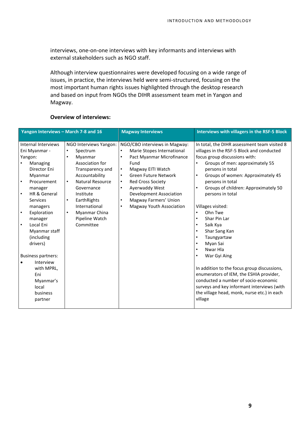interviews, one-on-one interviews with key informants and interviews with external stakeholders such as NGO staff.

Although interview questionnaires were developed focusing on a wide range of issues, in practice, the interviews held were semi-structured, focusing on the most important human rights issues highlighted through the desktop research and based on input from NGOs the DIHR assessment team met in Yangon and Magway.

| Yangon Interviews - March 7-8 and 16 |                                                 | <b>Magway Interviews</b>                                                 | Interviews with villagers in the RSF-5 Block                                              |  |
|--------------------------------------|-------------------------------------------------|--------------------------------------------------------------------------|-------------------------------------------------------------------------------------------|--|
| Internal Interviews                  |                                                 |                                                                          |                                                                                           |  |
| Eni Myanmar -                        | NGO Interviews Yangon:<br>Spectrum<br>$\bullet$ | NGO/CBO interviews in Magway:<br>Marie Stopes International<br>$\bullet$ | In total, the DIHR assessment team visited 8<br>villages in the RSF-5 Block and conducted |  |
| Yangon:                              | Myanmar<br>$\bullet$                            | Pact Myanmar Microfinance<br>$\bullet$                                   | focus group discussions with:                                                             |  |
| Managing                             | Association for                                 | Fund                                                                     | Groups of men: approximately 55<br>$\bullet$                                              |  |
| Director Eni                         | Transparency and                                | Magway EITI Watch<br>$\bullet$                                           | persons in total                                                                          |  |
| Myanmar                              | Accountability                                  | <b>Green Future Network</b><br>$\bullet$                                 | Groups of women: Approximately 45                                                         |  |
| Procurement<br>$\bullet$             | <b>Natural Resource</b><br>$\bullet$            | <b>Red Cross Society</b><br>$\bullet$                                    | persons in total                                                                          |  |
| manager                              | Governance                                      | Ayerwaddy West<br>$\bullet$                                              | Groups of children: Approximately 50                                                      |  |
| HR & General<br>$\bullet$            | Institute                                       | <b>Development Association</b>                                           | persons in total                                                                          |  |
| <b>Services</b>                      | EarthRights<br>$\bullet$                        | Magway Farmers' Union<br>$\bullet$                                       |                                                                                           |  |
| managers                             | International                                   | Magway Youth Association<br>$\bullet$                                    | Villages visited:                                                                         |  |
| Exploration<br>$\bullet$             | Myanmar China<br>$\bullet$                      |                                                                          | Ohn Twe                                                                                   |  |
| manager                              | Pipeline Watch                                  |                                                                          | Shar Pin Lar                                                                              |  |
| Local Eni<br>$\bullet$               | Committee                                       |                                                                          | Saik Kya                                                                                  |  |
| Myanmar staff                        |                                                 |                                                                          | Shar Sang Kan                                                                             |  |
| (including                           |                                                 |                                                                          | Taungyartaw                                                                               |  |
| drivers)                             |                                                 |                                                                          | Myan Sai                                                                                  |  |
|                                      |                                                 |                                                                          | Nwar Hla                                                                                  |  |
| <b>Business partners:</b>            |                                                 |                                                                          | War Gyi Aing                                                                              |  |
| Interview                            |                                                 |                                                                          |                                                                                           |  |
| with MPRL,                           |                                                 |                                                                          | In addition to the focus group discussions,                                               |  |
| Eni                                  |                                                 |                                                                          | enumerators of IEM, the ESHIA provider,                                                   |  |
| Myanmar's                            |                                                 |                                                                          | conducted a number of socio-economic                                                      |  |
| local                                |                                                 |                                                                          | surveys and key informant interviews (with                                                |  |
| business                             |                                                 |                                                                          | the village head, monk, nurse etc.) in each                                               |  |
| partner                              |                                                 |                                                                          | village                                                                                   |  |
|                                      |                                                 |                                                                          |                                                                                           |  |

#### **Overview of interviews:**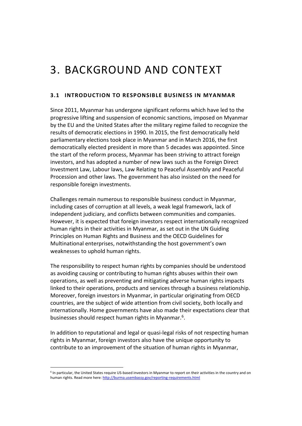# <span id="page-9-0"></span>3. BACKGROUND AND CONTEXT

## <span id="page-9-1"></span>**3.1 INTRODUCTION TO RESPONSIBLE BUSINESS IN MYANMAR**

Since 2011, Myanmar has undergone significant reforms which have led to the progressive lifting and suspension of economic sanctions, imposed on Myanmar by the EU and the United States after the military regime failed to recognize the results of democratic elections in 1990. In 2015, the first democratically held parliamentary elections took place in Myanmar and in March 2016, the first democratically elected president in more than 5 decades was appointed. Since the start of the reform process, Myanmar has been striving to attract foreign investors, and has adopted a number of new laws such as the Foreign Direct Investment Law, Labour laws, Law Relating to Peaceful Assembly and Peaceful Procession and other laws. The government has also insisted on the need for responsible foreign investments.

Challenges remain numerous to responsible business conduct in Myanmar, including cases of corruption at all levels, a weak legal framework, lack of independent judiciary, and conflicts between communities and companies. However, it is expected that foreign investors respect internationally recognized human rights in their activities in Myanmar, as set out in the UN Guiding Principles on Human Rights and Business and the OECD Guidelines for Multinational enterprises, notwithstanding the host government's own weaknesses to uphold human rights.

The responsibility to respect human rights by companies should be understood as avoiding causing or contributing to human rights abuses within their own operations, as well as preventing and mitigating adverse human rights impacts linked to their operations, products and services through a business relationship. Moreover, foreign investors in Myanmar, in particular originating from OECD countries, are the subject of wide attention from civil society, both locally and internationally. Home governments have also made their expectations clear that businesses should respect human rights in Myanmar.<sup>6</sup>.

In addition to reputational and legal or quasi-legal risks of not respecting human rights in Myanmar, foreign investors also have the unique opportunity to contribute to an improvement of the situation of human rights in Myanmar,

<sup>6</sup> In particular, the United States require US-based investors in Myanmar to report on their activities in the country and on human rights. Read more here[: http://burma.usembassy.gov/reporting-requirements.html](http://burma.usembassy.gov/reporting-requirements.html)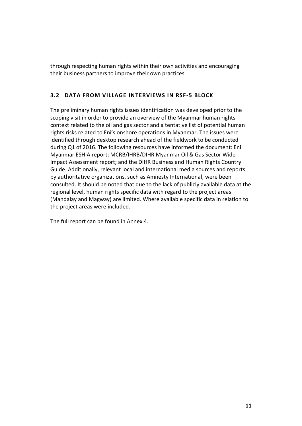through respecting human rights within their own activities and encouraging their business partners to improve their own practices.

# <span id="page-10-0"></span>**3.2 DATA FROM VILLAGE INTERVIEWS IN RSF-5 BLOCK**

The preliminary human rights issues identification was developed prior to the scoping visit in order to provide an overview of the Myanmar human rights context related to the oil and gas sector and a tentative list of potential human rights risks related to Eni's onshore operations in Myanmar. The issues were identified through desktop research ahead of the fieldwork to be conducted during Q1 of 2016. The following resources have informed the document: Eni Myanmar ESHIA report; MCRB/IHRB/DIHR Myanmar Oil & Gas Sector Wide Impact Assessment report; and the DIHR Business and Human Rights Country Guide. Additionally, relevant local and international media sources and reports by authoritative organizations, such as Amnesty International, were been consulted. It should be noted that due to the lack of publicly available data at the regional level, human rights specific data with regard to the project areas (Mandalay and Magway) are limited. Where available specific data in relation to the project areas were included.

The full report can be found in Annex 4.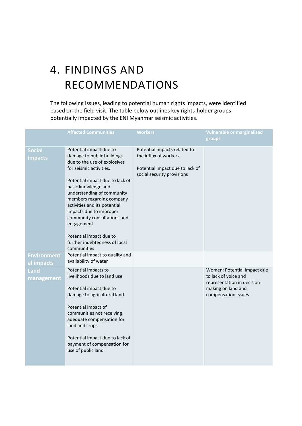# <span id="page-11-0"></span>4. FINDINGS AND RECOMMENDATIONS

The following issues, leading to potential human rights impacts, were identified based on the field visit. The table below outlines key rights-holder groups potentially impacted by the ENI Myanmar seismic activities.

|                                  | <b>Affected Communities</b>                                                                                                                                                                                                                                                                                                                                                                                              | <b>Workers</b>                                                                                                         | <b>Vulnerable or marginalised</b><br>groups                                                                                     |
|----------------------------------|--------------------------------------------------------------------------------------------------------------------------------------------------------------------------------------------------------------------------------------------------------------------------------------------------------------------------------------------------------------------------------------------------------------------------|------------------------------------------------------------------------------------------------------------------------|---------------------------------------------------------------------------------------------------------------------------------|
| <b>Social</b><br><b>impacts</b>  | Potential impact due to<br>damage to public buildings<br>due to the use of explosives<br>for seismic activities.<br>Potential impact due to lack of<br>basic knowledge and<br>understanding of community<br>members regarding company<br>activities and its potential<br>impacts due to improper<br>community consultations and<br>engagement<br>Potential impact due to<br>further indebtedness of local<br>communities | Potential impacts related to<br>the influx of workers<br>Potential impact due to lack of<br>social security provisions |                                                                                                                                 |
| <b>Environment</b><br>al impacts | Potential impact to quality and<br>availability of water                                                                                                                                                                                                                                                                                                                                                                 |                                                                                                                        |                                                                                                                                 |
| Land<br>management               | Potential impacts to<br>livelihoods due to land use<br>Potential impact due to<br>damage to agricultural land<br>Potential impact of<br>communities not receiving<br>adequate compensation for<br>land and crops<br>Potential impact due to lack of<br>payment of compensation for<br>use of public land                                                                                                                 |                                                                                                                        | Women: Potential impact due<br>to lack of voice and<br>representation in decision-<br>making on land and<br>compensation issues |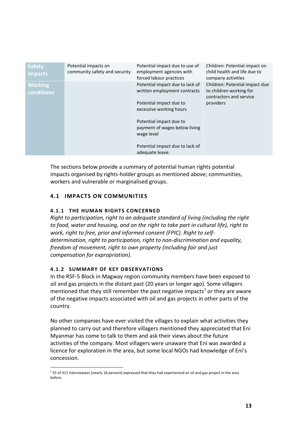| <b>Safety</b><br>impacts     | Potential impacts on<br>community safety and security | Potential impact due to use of<br>employment agencies with<br>forced labour practices                                                                                                                                                                 | Children: Potential impact on<br>child health and life due to<br>company activities               |
|------------------------------|-------------------------------------------------------|-------------------------------------------------------------------------------------------------------------------------------------------------------------------------------------------------------------------------------------------------------|---------------------------------------------------------------------------------------------------|
| <b>Working</b><br>conditions |                                                       | Potential impact due to lack of<br>written employment contracts<br>Potential impact due to<br>excessive working hours<br>Potential impact due to<br>payment of wages below living<br>wage level<br>Potential impact due to lack of<br>adequate leave. | Children: Potential impact due<br>to children working for<br>contractors and service<br>providers |

The sections below provide a summary of potential human rights potential impacts organised by rights-holder groups as mentioned above; communities, workers and vulnerable or marginalised groups.

# <span id="page-12-1"></span><span id="page-12-0"></span>**4.1 IMPACTS ON COMMUNITIES**

# **4.1.1 THE HUMAN RIGHTS CONCERNED**

*Right to participation, right to an adequate standard of living (including the right to food, water and housing, and on the right to take part in cultural life), right to work, right to free, prior and informed consent (FPIC). Right to selfdetermination, right to participation, right to non-discrimination and equality, freedom of movement, right to own property (including fair and just compensation for expropriation).*

# <span id="page-12-2"></span>**4.1.2 SUMMARY OF KEY OBSERVATIONS**

 $\overline{a}$ 

In the RSF-5 Block in Magway region community members have been exposed to oil and gas projects in the distant past (20 years or longer ago). Some villagers mentioned that they still remember the past negative impacts<sup>7</sup> or they are aware of the negative impacts associated with oil and gas projects in other parts of the country.

No other companies have ever visited the villages to explain what activities they planned to carry out and therefore villagers mentioned they appreciated that Eni Myanmar has come to talk to them and ask their views about the future activities of the company. Most villagers were unaware that Eni was awarded a licence for exploration in the area, but some local NGOs had knowledge of Eni's concession.

<sup>7</sup> 55 of 311 interviewees (nearly 18 percent) expressed that they had experienced an oil and gas project in the area before.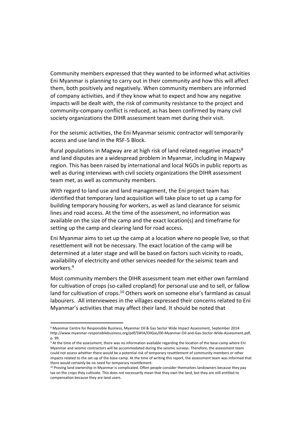Community members expressed that they wanted to be informed what activities Eni Myanmar is planning to carry out in their community and how this will affect them, both positively and negatively. When community members are informed of company activities, and if they know what to expect and how any negative impacts will be dealt with, the risk of community resistance to the project and community-company conflict is reduced, as has been confirmed by many civil society organizations the DIHR assessment team met during their visit.

For the seismic activities, the Eni Myanmar seismic contractor will temporarily access and use land in the RSF-5 Block.

Rural populations in Magway are at high risk of land related negative impacts<sup>8</sup> and land disputes are a widespread problem in Myanmar, including in Magway region. This has been raised by international and local NGOs in public reports as well as during interviews with civil society organizations the DIHR assessment team met, as well as community members.

With regard to land use and land management, the Eni project team has identified that temporary land acquisition will take place to set up a camp for building temporary housing for workers, as well as land clearance for seismic lines and road access. At the time of the assessment, no information was available on the size of the camp and the exact location(s) and timeframe for setting up the camp and clearing land for road access.

Eni Myanmar aims to set up the camp at a location where no people live, so that resettlement will not be necessary. The exact location of the camp will be determined at a later stage and will be based on factors such vicinity to roads, availability of electricity and other services needed for the seismic team and workers.<sup>9</sup>

Most community members the DIHR assessment team met either own farmland for cultivation of crops (so-called cropland) for personal use and to sell, or fallow land for cultivation of crops.<sup>10</sup> Others work on someone else's farmland as casual labourers. All interviewees in the villages expressed their concerns related to Eni Myanmar's activities that may affect their land. It should be noted that

<sup>8</sup> Myanmar Centre for Responsible Business, Myanmar Oil & Gas Sector Wide Impact Assessment, September 2014: http://www.myanmar-responsiblebusiness.org/pdf/SWIA/OilGas/00-Myanmar-Oil-and-Gas-Sector-Wide-Assessment.pdf, p. 99.

<sup>&</sup>lt;sup>9</sup> At the time of the assessment, there was no information available regarding the location of the base-camp where Eni Myanmar and seismic contractors will be accommodated during the seismic surveys. Therefore, the assessment team could not assess whether there would be a potential risk of temporary resettlement of community members or other impacts related to the set-up of the base-camp. At the time of writing this report, the assessment team was informed that there would certainly be no need for temporary resettlement.

<sup>10</sup> Proving land ownership in Myanmar is complicated. Often people consider themselves landowners because they pay tax on the crops they cultivate. This does not necessarily mean that they own the land, but they are still entitled to compensation because they are land users.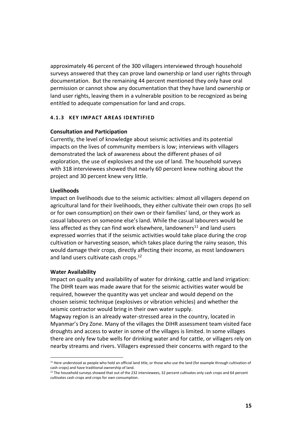approximately 46 percent of the 300 villagers interviewed through household surveys answered that they can prove land ownership or land user rights through documentation. But the remaining 44 percent mentioned they only have oral permission or cannot show any documentation that they have land ownership or land user rights, leaving them in a vulnerable position to be recognized as being entitled to adequate compensation for land and crops.

## <span id="page-14-0"></span>**4.1.3 KEY IMPACT AREAS IDENTIFIED**

#### **Consultation and Participation**

Currently, the level of knowledge about seismic activities and its potential impacts on the lives of community members is low; interviews with villagers demonstrated the lack of awareness about the different phases of oil exploration, the use of explosives and the use of land. The household surveys with 318 interviewees showed that nearly 60 percent knew nothing about the project and 30 percent knew very little.

#### **Livelihoods**

Impact on livelihoods due to the seismic activities: almost all villagers depend on agricultural land for their livelihoods, they either cultivate their own crops (to sell or for own consumption) on their own or their families' land, or they work as casual labourers on someone else's land. While the casual labourers would be less affected as they can find work elsewhere, landowners<sup>11</sup> and land users expressed worries that if the seismic activities would take place during the crop cultivation or harvesting season, which takes place during the rainy season, this would damage their crops, directly affecting their income, as most landowners and land users cultivate cash crops. 12

#### **Water Availability**

 $\overline{a}$ 

Impact on quality and availability of water for drinking, cattle and land irrigation: The DIHR team was made aware that for the seismic activities water would be required, however the quantity was yet unclear and would depend on the chosen seismic technique (explosives or vibration vehicles) and whether the seismic contractor would bring in their own water supply.

Magway region is an already water-stressed area in the country, located in Myanmar's Dry Zone. Many of the villages the DIHR assessment team visited face droughts and access to water in some of the villages is limited. In some villages there are only few tube wells for drinking water and for cattle, or villagers rely on nearby streams and rivers. Villagers expressed their concerns with regard to the

<sup>&</sup>lt;sup>11</sup> Here understood as people who hold an official land title, or those who use the land (for example through cultivation of cash crops) and have traditional ownership of land.

<sup>&</sup>lt;sup>12</sup> The household surveys showed that out of the 232 interviewees, 32 percent cultivates only cash crops and 64 percent cultivates cash crops and crops for own consumption.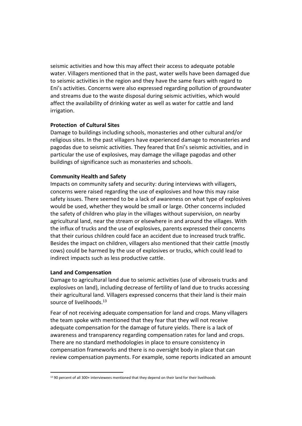seismic activities and how this may affect their access to adequate potable water. Villagers mentioned that in the past, water wells have been damaged due to seismic activities in the region and they have the same fears with regard to Eni's activities. Concerns were also expressed regarding pollution of groundwater and streams due to the waste disposal during seismic activities, which would affect the availability of drinking water as well as water for cattle and land irrigation.

## **Protection of Cultural Sites**

Damage to buildings including schools, monasteries and other cultural and/or religious sites. In the past villagers have experienced damage to monasteries and pagodas due to seismic activities. They feared that Eni's seismic activities, and in particular the use of explosives, may damage the village pagodas and other buildings of significance such as monasteries and schools.

#### **Community Health and Safety**

Impacts on community safety and security: during interviews with villagers, concerns were raised regarding the use of explosives and how this may raise safety issues. There seemed to be a lack of awareness on what type of explosives would be used, whether they would be small or large. Other concerns included the safety of children who play in the villages without supervision, on nearby agricultural land, near the stream or elsewhere in and around the villages. With the influx of trucks and the use of explosives, parents expressed their concerns that their curious children could face an accident due to increased truck traffic. Besides the impact on children, villagers also mentioned that their cattle (mostly cows) could be harmed by the use of explosives or trucks, which could lead to indirect impacts such as less productive cattle.

#### **Land and Compensation**

 $\overline{a}$ 

Damage to agricultural land due to seismic activities (use of vibroseis trucks and explosives on land), including decrease of fertility of land due to trucks accessing their agricultural land. Villagers expressed concerns that their land is their main source of livelihoods.<sup>13</sup>

Fear of not receiving adequate compensation for land and crops. Many villagers the team spoke with mentioned that they fear that they will not receive adequate compensation for the damage of future yields. There is a lack of awareness and transparency regarding compensation rates for land and crops. There are no standard methodologies in place to ensure consistency in compensation frameworks and there is no oversight body in place that can review compensation payments. For example, some reports indicated an amount

<sup>&</sup>lt;sup>13</sup> 90 percent of all 300+ interviewees mentioned that they depend on their land for their livelihoods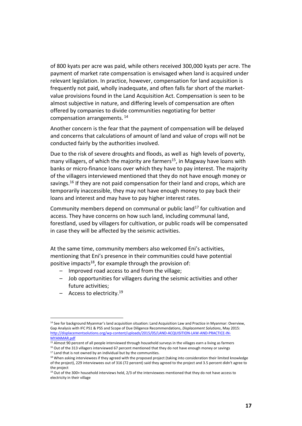of 800 kyats per acre was paid, while others received 300,000 kyats per acre. The payment of market rate compensation is envisaged when land is acquired under relevant legislation. In practice, however, compensation for land acquisition is frequently not paid, wholly inadequate, and often falls far short of the marketvalue provisions found in the Land Acquisition Act. Compensation is seen to be almost subjective in nature, and differing levels of compensation are often offered by companies to divide communities negotiating for better compensation arrangements. <sup>14</sup>

Another concern is the fear that the payment of compensation will be delayed and concerns that calculations of amount of land and value of crops will not be conducted fairly by the authorities involved.

Due to the risk of severe droughts and floods, as well as high levels of poverty, many villagers, of which the majority are farmers<sup>15</sup>, in Magway have loans with banks or micro-finance loans over which they have to pay interest. The majority of the villagers interviewed mentioned that they do not have enough money or savings.<sup>16</sup> If they are not paid compensation for their land and crops, which are temporarily inaccessible, they may not have enough money to pay back their loans and interest and may have to pay higher interest rates.

Community members depend on communal or public land<sup>17</sup> for cultivation and access. They have concerns on how such land, including communal land, forestland, used by villagers for cultivation, or public roads will be compensated in case they will be affected by the seismic activities.

At the same time, community members also welcomed Eni's activities, mentioning that Eni's presence in their communities could have potential positive impacts<sup>18</sup>, for example through the provision of:

- Improved road access to and from the village;
- Job opportunities for villagers during the seismic activities and other future activities;
- Access to electricity. 19

<sup>&</sup>lt;sup>14</sup> See for background Myanmar's land acquisition situation: Land Acquisition Law and Practice in Myanmar: Overview, Gap Analysis with IFC PS1 & PS5 and Scope of Due Diligence Recommendations, *Displacement Solutions*, May 2015: [http://displacementsolutions.org/wp-content/uploads/2015/05/LAND-ACQUISITION-LAW-AND-PRACTICE-IN-](http://displacementsolutions.org/wp-content/uploads/2015/05/LAND-ACQUISITION-LAW-AND-PRACTICE-IN-MYANMAR.pdf)[MYANMAR.pdf](http://displacementsolutions.org/wp-content/uploads/2015/05/LAND-ACQUISITION-LAW-AND-PRACTICE-IN-MYANMAR.pdf)

 $\frac{15}{15}$  Almost 90 percent of all people interviewed through household surveys in the villages earn a living as farmers <sup>16</sup> Out of the 313 villagers interviewed 67 percent mentioned that they do not have enough money or savings

 $17$  Land that is not owned by an individual but by the communities.

<sup>&</sup>lt;sup>18</sup> When asking interviewees if they agreed with the proposed project (taking into consideration their limited knowledge of the project), 229 interviewees out of 316 (72 percent) said they agreed to the project and 3.5 percent didn't agree to the project

<sup>&</sup>lt;sup>19</sup> Out of the 300+ household interviews held, 2/3 of the interviewees mentioned that they do not have access to electricity in their village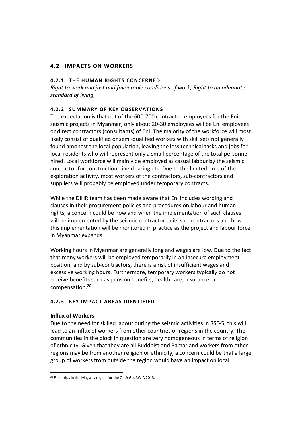# <span id="page-17-1"></span><span id="page-17-0"></span>**4.2 IMPACTS ON WORKERS**

## **4.2.1 THE HUMAN RIGHTS CONCERNED**

*Right to work and just and favourable conditions of work; Right to an adequate standard of living,* 

## <span id="page-17-2"></span>**4.2.2 SUMMARY OF KEY OBSERVATIONS**

The expectation is that out of the 600-700 contracted employees for the Eni seismic projects in Myanmar, only about 20-30 employees will be Eni employees or direct contractors (consultants) of Eni. The majority of the workforce will most likely consist of qualified or semi-qualified workers with skill sets not generally found amongst the local population, leaving the less technical tasks and jobs for local residents who will represent only a small percentage of the total personnel hired. Local workforce will mainly be employed as casual labour by the seismic contractor for construction, line clearing etc. Due to the limited time of the exploration activity, most workers of the contractors, sub-contractors and suppliers will probably be employed under temporary contracts.

While the DIHR team has been made aware that Eni includes wording and clauses in their procurement policies and procedures on labour and human rights, a concern could be how and when the implementation of such clauses will be implemented by the seismic contractor to its sub-contractors and how this implementation will be monitored in practice as the project and labour force in Myanmar expands.

Working hours in Myanmar are generally long and wages are low. Due to the fact that many workers will be employed temporarily in an insecure employment position, and by sub-contractors, there is a risk of insufficient wages and excessive working hours. Furthermore, temporary workers typically do not receive benefits such as pension benefits, health care, insurance or compensation. 20

## <span id="page-17-3"></span>**4.2.3 KEY IMPACT AREAS IDENTIFIED**

## **Influx of Workers**

Due to the need for skilled labour during the seismic activities in RSF-5, this will lead to an influx of workers from other countries or regions in the country. The communities in the block in question are very homogeneous in terms of religion of ethnicity. Given that they are all Buddhist and Bamar and workers from other regions may be from another religion or ethnicity, a concern could be that a large group of workers from outside the region would have an impact on local

 $\overline{a}$ <sup>20</sup> Field trips in the Magway region for the Oil & Gas SWIA 2013.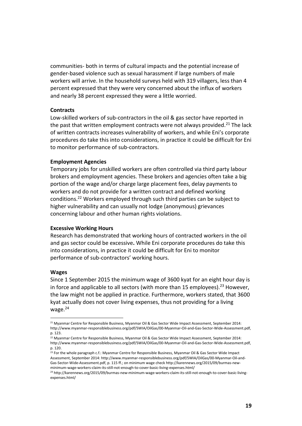communities- both in terms of cultural impacts and the potential increase of gender-based violence such as sexual harassment if large numbers of male workers will arrive. In the household surveys held with 319 villagers, less than 4 percent expressed that they were very concerned about the influx of workers and nearly 38 percent expressed they were a little worried.

#### **Contracts**

Low-skilled workers of sub-contractors in the oil & gas sector have reported in the past that written employment contracts were not always provided.<sup>21</sup> The lack of written contracts increases vulnerability of workers, and while Eni's corporate procedures do take this into considerations, in practice it could be difficult for Eni to monitor performance of sub-contractors.

#### **Employment Agencies**

Temporary jobs for unskilled workers are often controlled via third party labour brokers and employment agencies. These brokers and agencies often take a big portion of the wage and/or charge large placement fees, delay payments to workers and do not provide for a written contract and defined working conditions.<sup>22</sup> Workers employed through such third parties can be subject to higher vulnerability and can usually not lodge (anonymous) grievances concerning labour and other human rights violations.

#### **Excessive Working Hours**

Research has demonstrated that working hours of contracted workers in the oil and gas sector could be excessive**.** While Eni corporate procedures do take this into considerations, in practice it could be difficult for Eni to monitor performance of sub-contractors' working hours.

#### **Wages**

 $\overline{a}$ 

Since 1 September 2015 the minimum wage of 3600 kyat for an eight hour day is in force and applicable to all sectors (with more than 15 employees).<sup>23</sup> However, the law might not be applied in practice. Furthermore, workers stated, that 3600 kyat actually does not cover living expenses, thus not providing for a living wage.<sup>24</sup>

<sup>&</sup>lt;sup>21</sup> Myanmar Centre for Responsible Business, Myanmar Oil & Gas Sector Wide Impact Assessment, September 2014: http://www.myanmar-responsiblebusiness.org/pdf/SWIA/OilGas/00-Myanmar-Oil-and-Gas-Sector-Wide-Assessment.pdf, p. 123.

<sup>&</sup>lt;sup>22</sup> Myanmar Centre for Responsible Business, Myanmar Oil & Gas Sector Wide Impact Assessment, September 2014: http://www.myanmar-responsiblebusiness.org/pdf/SWIA/OilGas/00-Myanmar-Oil-and-Gas-Sector-Wide-Assessment.pdf, p. 120.

<sup>&</sup>lt;sup>23</sup> For the whole paragraph c.f.: Myanmar Centre for Responsible Business, Myanmar Oil & Gas Sector Wide Impact Assessment, September 2014: http://www.myanmar-responsiblebusiness.org/pdf/SWIA/OilGas/00-Myanmar-Oil-and-Gas-Sector-Wide-Assessment.pdf, p. 115 ff.; on minimum wage check http://karennews.org/2015/09/burmas-newminimum-wage-workers-claim-its-still-not-enough-to-cover-basic-living-expenses.html/

<sup>24</sup> http://karennews.org/2015/09/burmas-new-minimum-wage-workers-claim-its-still-not-enough-to-cover-basic-livingexpenses.html/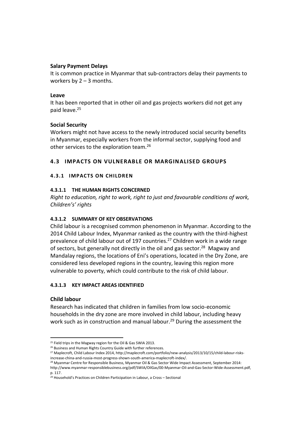## **Salary Payment Delays**

It is common practice in Myanmar that sub-contractors delay their payments to workers by  $2 - 3$  months.

## **Leave**

It has been reported that in other oil and gas projects workers did not get any paid leave.<sup>25</sup>

# **Social Security**

Workers might not have access to the newly introduced social security benefits in Myanmar, especially workers from the informal sector, supplying food and other services to the exploration team.<sup>26</sup>

# <span id="page-19-1"></span><span id="page-19-0"></span>**4.3 IMPACTS ON VULNERABLE OR MARGINALISED GROUPS**

## **4.3.1 IMPACTS ON CHILDREN**

## **4.3.1.1 THE HUMAN RIGHTS CONCERNED**

*Right to education, right to work, right to just and favourable conditions of work, Children's' rights*

# **4.3.1.2 SUMMARY OF KEY OBSERVATIONS**

Child labour is a recognised common phenomenon in Myanmar. According to the 2014 Child Labour Index, Myanmar ranked as the country with the third-highest prevalence of child labour out of 197 countries.<sup>27</sup> Children work in a wide range of sectors, but generally not directly in the oil and gas sector.<sup>28</sup> Magway and Mandalay regions, the locations of Eni's operations, located in the Dry Zone, are considered less developed regions in the country, leaving this region more vulnerable to poverty, which could contribute to the risk of child labour.

## **4.3.1.3 KEY IMPACT AREAS IDENTIFIED**

## **Child labour**

 $\overline{a}$ 

Research has indicated that children in families from low socio-economic households in the dry zone are more involved in child labour, including heavy work such as in construction and manual labour.<sup>29</sup> During the assessment the

<sup>&</sup>lt;sup>25</sup> Field trips in the Magway region for the Oil & Gas SWIA 2013.

<sup>&</sup>lt;sup>26</sup> Business and Human Rights Country Guide with further references.

<sup>27</sup> Maplecroft, Child Labour Index 2014, http://maplecroft.com/portfolio/new-analysis/2013/10/15/child-labour-risksincrease-china-and-russia-most-progress-shown-south-america-maplecroft-index/.

<sup>&</sup>lt;sup>28</sup> Myanmar Centre for Responsible Business, Myanmar Oil & Gas Sector Wide Impact Assessment, September 2014: http://www.myanmar-responsiblebusiness.org/pdf/SWIA/OilGas/00-Myanmar-Oil-and-Gas-Sector-Wide-Assessment.pdf, p. 117.

 $29$  Household's Practices on Children Participation in Labour, a Cross – Sectional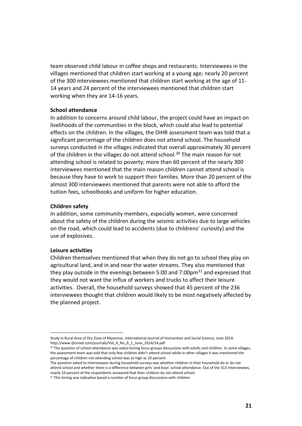team observed child labour in coffee shops and restaurants. Interviewees in the villages mentioned that children start working at a young age; nearly 20 percent of the 300 interviewees mentioned that children start working at the age of 11- 14 years and 24 percent of the interviewees mentioned that children start working when they are 14-16 years.

#### **School attendance**

In addition to concerns around child labour, the project could have an impact on livelihoods of the communities in the block, which could also lead to potential effects on the children. In the villages, the DIHR assessment team was told that a significant percentage of the children does not attend school. The household surveys conducted in the villages indicated that overall approximately 30 percent of the children in the villages do not attend school.<sup>30</sup> The main reason for not attending school is related to poverty; more than 60 percent of the nearly 300 interviewees mentioned that the main reason children cannot attend school is because they have to work to support their families. More than 20 percent of the almost 300 interviewees mentioned that parents were not able to afford the tuition fees, schoolbooks and uniform for higher education.

#### **Children safety**

In addition, some community members, especially women, were concerned about the safety of the children during the seismic activities due to large vehicles on the road, which could lead to accidents (due to childrens' curiosity) and the use of explosives.

#### **Leisure activities**

 $\overline{a}$ 

Children themselves mentioned that when they do not go to school they play on agricultural land, and in and near the water streams. They also mentioned that they play outside in the evenings between 5:00 and  $7:00 \text{pm}^{31}$  and expressed that they would not want the influx of workers and trucks to affect their leisure activities. Overall, the household surveys showed that 45 percent of the 236 interviewees thought that children would likely to be most negatively affected by the planned project.

Study in Rural Area of Dry Zone of Myanmar, International Journal of Humanities and Social Science, June 2014: http://www.ijhssnet.com/journals/Vol\_4\_No\_8\_1\_June\_2014/14.pdf

<sup>&</sup>lt;sup>30</sup> The question of school attendance was asked during focus groups discussions with adults and children. In some villages, the assessment team was told that only few children didn't attend school while in other villages it was mentioned the percentage of children not attending school was as high as 20 percent.

The question asked to interviewees during household surveys was whether children in their household do or do not attend school and whether there is a difference between girls' and boys' school attendance. Out of the 313 interviewees, nearly 33 percent of the respondents answered that their children do not attend school.

 $31$  This timing was indicative based a number of focus group discussions with children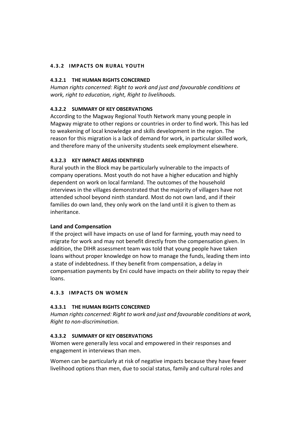## <span id="page-21-0"></span>**4.3.2 IMPACTS ON RURAL YOUTH**

## **4.3.2.1 THE HUMAN RIGHTS CONCERNED**

*Human rights concerned: Right to work and just and favourable conditions at work, right to education, right, Right to livelihoods.*

## **4.3.2.2 SUMMARY OF KEY OBSERVATIONS**

According to the Magway Regional Youth Network many young people in Magway migrate to other regions or countries in order to find work. This has led to weakening of local knowledge and skills development in the region. The reason for this migration is a lack of demand for work, in particular skilled work, and therefore many of the university students seek employment elsewhere.

## **4.3.2.3 KEY IMPACT AREAS IDENTIFIED**

Rural youth in the Block may be particularly vulnerable to the impacts of company operations. Most youth do not have a higher education and highly dependent on work on local farmland. The outcomes of the household interviews in the villages demonstrated that the majority of villagers have not attended school beyond ninth standard. Most do not own land, and if their families do own land, they only work on the land until it is given to them as inheritance.

## **Land and Compensation**

If the project will have impacts on use of land for farming, youth may need to migrate for work and may not benefit directly from the compensation given. In addition, the DIHR assessment team was told that young people have taken loans without proper knowledge on how to manage the funds, leading them into a state of indebtedness. If they benefit from compensation, a delay in compensation payments by Eni could have impacts on their ability to repay their loans.

## <span id="page-21-1"></span>**4.3.3 IMPACTS ON WOMEN**

## **4.3.3.1 THE HUMAN RIGHTS CONCERNED**

*Human rights concerned: Right to work and just and favourable conditions at work, Right to non-discrimination.*

## **4.3.3.2 SUMMARY OF KEY OBSERVATIONS**

Women were generally less vocal and empowered in their responses and engagement in interviews than men.

Women can be particularly at risk of negative impacts because they have fewer livelihood options than men, due to social status, family and cultural roles and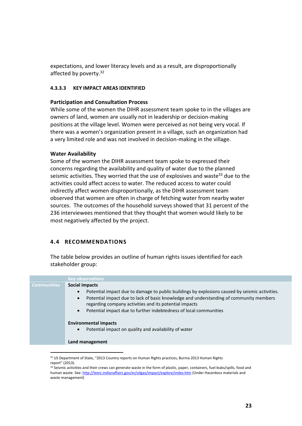expectations, and lower literacy levels and as a result, are disproportionally affected by poverty. $32$ 

#### **4.3.3.3 KEY IMPACT AREAS IDENTIFIED**

#### **Participation and Consultation Process**

While some of the women the DIHR assessment team spoke to in the villages are owners of land, women are usually not in leadership or decision-making positions at the village level. Women were perceived as not being very vocal. If there was a women's organization present in a village, such an organization had a very limited role and was not involved in decision-making in the village.

#### **Water Availability**

Some of the women the DIHR assessment team spoke to expressed their concerns regarding the availability and quality of water due to the planned seismic activities. They worried that the use of explosives and waste<sup>33</sup> due to the activities could affect access to water. The reduced access to water could indirectly affect women disproportionally, as the DIHR assessment team observed that women are often in charge of fetching water from nearby water sources. The outcomes of the household surveys showed that 31 percent of the 236 interviewees mentioned that they thought that women would likely to be most negatively affected by the project.

## <span id="page-22-0"></span>**4.4 RECOMMENDATIONS**

The table below provides an outline of human rights issues identified for each stakeholder group:

|                    | <b>Key observations</b>                                                                                                                                                                                                                                                                                                                                                                                                                                                                                   |
|--------------------|-----------------------------------------------------------------------------------------------------------------------------------------------------------------------------------------------------------------------------------------------------------------------------------------------------------------------------------------------------------------------------------------------------------------------------------------------------------------------------------------------------------|
| <b>Communities</b> | Social impacts<br>Potential impact due to damage to public buildings by explosions caused by seismic activities.<br>$\bullet$<br>Potential impact due to lack of basic knowledge and understanding of community members<br>$\bullet$<br>regarding company activities and its potential impacts<br>Potential impact due to further indebtedness of local communities<br>$\bullet$<br><b>Environmental impacts</b><br>Potential impact on quality and availability of water<br>$\bullet$<br>Land management |
|                    |                                                                                                                                                                                                                                                                                                                                                                                                                                                                                                           |

 $32$  US Department of State, "2013 Country reports on Human Rights practices, Burma 2013 Human Rights report" (2013).

<sup>33</sup> Seismic activities and their crews can generate waste in the form of plastic, paper, containers, fuel leaks/spills, food and human waste. See[: http://teeic.indianaffairs.gov/er/oilgas/impact/explore/index.htm](http://teeic.indianaffairs.gov/er/oilgas/impact/explore/index.htm) (Under Hazardous materials and waste management)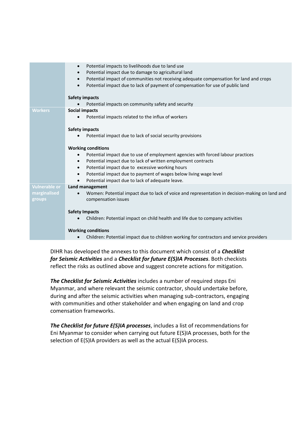|                      | Potential impacts to livelihoods due to land use<br>$\bullet$<br>Potential impact due to damage to agricultural land<br>$\bullet$<br>Potential impact of communities not receiving adequate compensation for land and crops<br>$\bullet$<br>Potential impact due to lack of payment of compensation for use of public land<br>$\bullet$ |
|----------------------|-----------------------------------------------------------------------------------------------------------------------------------------------------------------------------------------------------------------------------------------------------------------------------------------------------------------------------------------|
|                      | <b>Safety impacts</b>                                                                                                                                                                                                                                                                                                                   |
|                      | Potential impacts on community safety and security                                                                                                                                                                                                                                                                                      |
| <b>Workers</b>       | <b>Social impacts</b>                                                                                                                                                                                                                                                                                                                   |
|                      | Potential impacts related to the influx of workers                                                                                                                                                                                                                                                                                      |
|                      | <b>Safety impacts</b>                                                                                                                                                                                                                                                                                                                   |
|                      | Potential impact due to lack of social security provisions                                                                                                                                                                                                                                                                              |
|                      | <b>Working conditions</b>                                                                                                                                                                                                                                                                                                               |
|                      | Potential impact due to use of employment agencies with forced labour practices<br>$\bullet$                                                                                                                                                                                                                                            |
|                      | Potential impact due to lack of written employment contracts<br>$\bullet$                                                                                                                                                                                                                                                               |
|                      | Potential impact due to excessive working hours<br>$\bullet$                                                                                                                                                                                                                                                                            |
|                      | Potential impact due to payment of wages below living wage level<br>$\bullet$                                                                                                                                                                                                                                                           |
|                      | Potential impact due to lack of adequate leave.                                                                                                                                                                                                                                                                                         |
| <b>Vulnerable or</b> | Land management                                                                                                                                                                                                                                                                                                                         |
| marginalised         | Women: Potential impact due to lack of voice and representation in decision-making on land and                                                                                                                                                                                                                                          |
| groups               | compensation issues                                                                                                                                                                                                                                                                                                                     |
|                      | <b>Safety Impacts</b>                                                                                                                                                                                                                                                                                                                   |
|                      | Children: Potential impact on child health and life due to company activities                                                                                                                                                                                                                                                           |
|                      | <b>Working conditions</b>                                                                                                                                                                                                                                                                                                               |
|                      | Children: Potential impact due to children working for contractors and service providers<br>$\bullet$                                                                                                                                                                                                                                   |
|                      |                                                                                                                                                                                                                                                                                                                                         |

DIHR has developed the annexes to this document which consist of a *Checklist for Seismic Activities* and a *Checklist for future E(S)IA Processes*. Both checkists reflect the risks as outlined above and suggest concrete actions for mitigation.

*The Checklist for Seismic Activities* includes a number of required steps Eni Myanmar, and where relevant the seismic contractor, should undertake before, during and after the seismic activities when managing sub-contractors, engaging with communities and other stakeholder and when engaging on land and crop comensation frameworks.

*The Checklist for future E(S)IA processes*, includes a list of recommendations for Eni Myanmar to consider when carrying out future E(S)IA processes, both for the selection of E(S)IA providers as well as the actual E(S)IA process.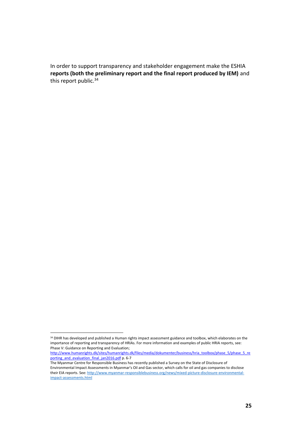In order to support transparency and stakeholder engagement make the ESHIA **reports (both the preliminary report and the final report produced by IEM)** and this report public.<sup>34</sup>

 $\overline{a}$ <sup>34</sup> DIHR has developed and published a Human rights impact assessment guidance and toolbox, which elaborates on the importance of reporting and transparency of HRIAs. For more information and examples of public HRIA reports, see: Phase V: Guidance on Reporting and Evaluation;

[http://www.humanrights.dk/sites/humanrights.dk/files/media/dokumenter/business/hria\\_toolbox/phase\\_5/phase\\_5\\_re](http://www.humanrights.dk/sites/humanrights.dk/files/media/dokumenter/business/hria_toolbox/phase_5/phase_5_reporting_and_evaluation_final_jan2016.pdf) porting and evaluation final jan2016.pdf p. 6-7

The Myanmar Centre for Responsible Business has recently published a Survey on the State of Disclosure of Environmental Impact Assessments in Myanmar's Oil and Gas sector, which calls for oil and gas companies to disclose their EIA reports. See[: http://www.myanmar-responsiblebusiness.org/news/mixed-picture-disclosure-environmental](http://www.myanmar-responsiblebusiness.org/news/mixed-picture-disclosure-environmental-impact-assessments.html)[impact-assessments.html](http://www.myanmar-responsiblebusiness.org/news/mixed-picture-disclosure-environmental-impact-assessments.html)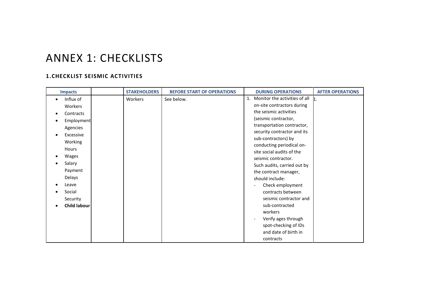# ANNEX 1: CHECKLISTS

# **1.CHECKLIST SEISMIC ACTIVITIES**

<span id="page-25-1"></span><span id="page-25-0"></span>

| <b>Impacts</b>         | <b>STAKEHOLDERS</b> | <b>BEFORE START OF OPERATIONS</b> | <b>DURING OPERATIONS</b>                        | <b>AFTER OPERATIONS</b> |
|------------------------|---------------------|-----------------------------------|-------------------------------------------------|-------------------------|
| Influx of<br>$\bullet$ | Workers             | See below.                        | Monitor the activities of all<br>$\mathbf{1}$ . | n.                      |
| Workers                |                     |                                   | on-site contractors during                      |                         |
| Contracts              |                     |                                   | the seismic activities                          |                         |
| Employment             |                     |                                   | (seismic contractor,                            |                         |
| Agencies               |                     |                                   | transportation contractor,                      |                         |
| Excessive              |                     |                                   | security contractor and its                     |                         |
| Working                |                     |                                   | sub-contractors) by                             |                         |
| Hours                  |                     |                                   | conducting periodical on-                       |                         |
| Wages                  |                     |                                   | site social audits of the                       |                         |
| Salary                 |                     |                                   | seismic contractor.                             |                         |
|                        |                     |                                   | Such audits, carried out by                     |                         |
| Payment                |                     |                                   | the contract manager,                           |                         |
| Delays                 |                     |                                   | should include:                                 |                         |
| Leave                  |                     |                                   | Check employment                                |                         |
| Social                 |                     |                                   | contracts between                               |                         |
| Security               |                     |                                   | seismic contractor and                          |                         |
| <b>Child labour</b>    |                     |                                   | sub-contracted                                  |                         |
|                        |                     |                                   | workers                                         |                         |
|                        |                     |                                   | Verify ages through                             |                         |
|                        |                     |                                   | spot-checking of IDs                            |                         |
|                        |                     |                                   | and date of birth in                            |                         |
|                        |                     |                                   | contracts                                       |                         |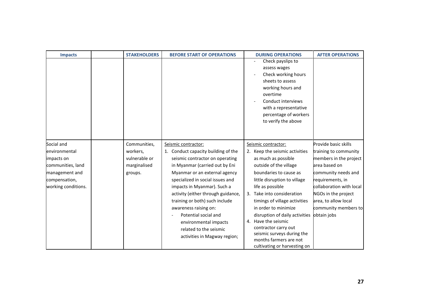| <b>Impacts</b>      | <b>STAKEHOLDERS</b> | <b>BEFORE START OF OPERATIONS</b>   | <b>DURING OPERATIONS</b>                                                                                                                                                                                     | <b>AFTER OPERATIONS</b>  |
|---------------------|---------------------|-------------------------------------|--------------------------------------------------------------------------------------------------------------------------------------------------------------------------------------------------------------|--------------------------|
|                     |                     |                                     | Check payslips to<br>assess wages<br>Check working hours<br>sheets to assess<br>working hours and<br>overtime<br>Conduct interviews<br>with a representative<br>percentage of workers<br>to verify the above |                          |
| Social and          | Communities,        | Seismic contractor:                 | Seismic contractor:                                                                                                                                                                                          | Provide basic skills     |
| environmental       | workers,            | 1. Conduct capacity building of the | 2. Keep the seismic activities                                                                                                                                                                               | training to community    |
| impacts on          | vulnerable or       | seismic contractor on operating     | as much as possible                                                                                                                                                                                          | members in the project   |
| communities, land   | marginalised        | in Myanmar (carried out by Eni      | outside of the village                                                                                                                                                                                       | area based on            |
| management and      | groups.             | Myanmar or an external agency       | boundaries to cause as                                                                                                                                                                                       | community needs and      |
| compensation,       |                     | specialized in social issues and    | little disruption to village                                                                                                                                                                                 | requirements, in         |
| working conditions. |                     | impacts in Myanmar). Such a         | life as possible                                                                                                                                                                                             | collaboration with local |
|                     |                     | activity (either through guidance,  | 3. Take into consideration                                                                                                                                                                                   | NGOs in the project      |
|                     |                     | training or both) such include      | timings of village activities                                                                                                                                                                                | area, to allow local     |
|                     |                     | awareness raising on:               | in order to minimize                                                                                                                                                                                         | community members to     |
|                     |                     | Potential social and                | disruption of daily activities                                                                                                                                                                               | obtain jobs              |
|                     |                     | environmental impacts               | 4. Have the seismic                                                                                                                                                                                          |                          |
|                     |                     | related to the seismic              | contractor carry out                                                                                                                                                                                         |                          |
|                     |                     | activities in Magway region;        | seismic surveys during the<br>months farmers are not                                                                                                                                                         |                          |
|                     |                     |                                     | cultivating or harvesting on                                                                                                                                                                                 |                          |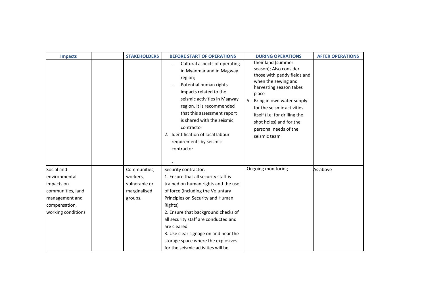| <b>Impacts</b>                                                                                                           | <b>STAKEHOLDERS</b>                                                  | <b>BEFORE START OF OPERATIONS</b><br>Cultural aspects of operating<br>in Myanmar and in Magway<br>region;<br>Potential human rights<br>impacts related to the<br>seismic activities in Magway<br>region. It is recommended<br>that this assessment report<br>is shared with the seismic<br>contractor<br>2. Identification of local labour<br>requirements by seismic<br>contractor                       | <b>DURING OPERATIONS</b><br>their land (summer<br>season); Also consider<br>those with paddy fields and<br>when the sewing and<br>harvesting season takes<br>place<br>5. Bring in own water supply<br>for the seismic activities<br>itself (i.e. for drilling the<br>shot holes) and for the<br>personal needs of the<br>seismic team | <b>AFTER OPERATIONS</b> |
|--------------------------------------------------------------------------------------------------------------------------|----------------------------------------------------------------------|-----------------------------------------------------------------------------------------------------------------------------------------------------------------------------------------------------------------------------------------------------------------------------------------------------------------------------------------------------------------------------------------------------------|---------------------------------------------------------------------------------------------------------------------------------------------------------------------------------------------------------------------------------------------------------------------------------------------------------------------------------------|-------------------------|
| Social and<br>environmental<br>impacts on<br>communities, land<br>management and<br>compensation,<br>working conditions. | Communities,<br>workers,<br>vulnerable or<br>marginalised<br>groups. | Security contractor:<br>1. Ensure that all security staff is<br>trained on human rights and the use<br>of force (including the Voluntary<br>Principles on Security and Human<br>Rights)<br>2. Ensure that background checks of<br>all security staff are conducted and<br>are cleared<br>3. Use clear signage on and near the<br>storage space where the explosives<br>for the seismic activities will be | Ongoing monitoring                                                                                                                                                                                                                                                                                                                    | As above                |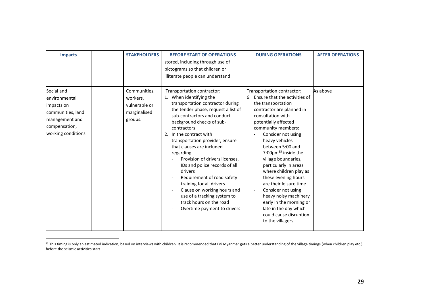| <b>Impacts</b>                                                                                             | <b>STAKEHOLDERS</b>                                  | <b>BEFORE START OF OPERATIONS</b>                                                                                                                                                                                                                                                                                                                                                                                                                                                                                                                      | <b>DURING OPERATIONS</b>                                                                                                                                                                                                                                                                                                                                                                                                                                                                                                          | <b>AFTER OPERATIONS</b> |
|------------------------------------------------------------------------------------------------------------|------------------------------------------------------|--------------------------------------------------------------------------------------------------------------------------------------------------------------------------------------------------------------------------------------------------------------------------------------------------------------------------------------------------------------------------------------------------------------------------------------------------------------------------------------------------------------------------------------------------------|-----------------------------------------------------------------------------------------------------------------------------------------------------------------------------------------------------------------------------------------------------------------------------------------------------------------------------------------------------------------------------------------------------------------------------------------------------------------------------------------------------------------------------------|-------------------------|
| Social and                                                                                                 | Communities,                                         | stored, including through use of<br>pictograms so that children or<br>illiterate people can understand<br>Transportation contractor:                                                                                                                                                                                                                                                                                                                                                                                                                   | Transportation contractor:                                                                                                                                                                                                                                                                                                                                                                                                                                                                                                        | As above                |
| environmental<br>impacts on<br>communities, land<br>management and<br>compensation,<br>working conditions. | workers,<br>vulnerable or<br>marginalised<br>groups. | 1. When identifying the<br>transportation contractor during<br>the tender phase, request a list of<br>sub-contractors and conduct<br>background checks of sub-<br>contractors<br>2. In the contract with<br>transportation provider, ensure<br>that clauses are included<br>regarding:<br>Provision of drivers licenses,<br>IDs and police records of all<br>drivers<br>Requirement of road safety<br>training for all drivers<br>Clause on working hours and<br>use of a tracking system to<br>track hours on the road<br>Overtime payment to drivers | 6. Ensure that the activities of<br>the transportation<br>contractor are planned in<br>consultation with<br>potentially affected<br>community members:<br>Consider not using<br>heavy vehicles<br>between 5:00 and<br>7:00pm <sup>35</sup> inside the<br>village boundaries,<br>particularly in areas<br>where children play as<br>these evening hours<br>are their leisure time<br>Consider not using<br>heavy noisy machinery<br>early in the morning or<br>late in the day which<br>could cause disruption<br>to the villagers |                         |

<sup>&</sup>lt;sup>35</sup> This timing is only an estimated indication, based on interviews with children. It is recommended that Eni Myanmar gets a better understanding of the village timings (when children play etc.) before the seismic activities start

l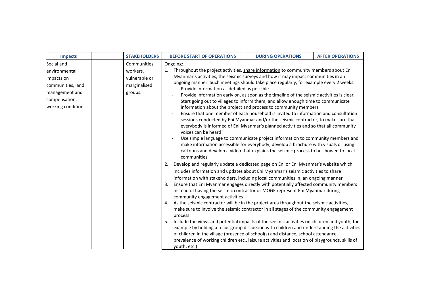| <b>Impacts</b>                                                                                                           | <b>STAKEHOLDERS</b>                                                  | <b>BEFORE START OF OPERATIONS</b>                                                                                                                                                                                                                                                                                                                                                                                                                                                                                                                                                                                                                                                                                                                                                                                                                                                                                                                                                                                                                                                                                                                                                                                                                                                                                                                                                                                                                                                  | <b>DURING OPERATIONS</b>                                                                                                                                                                                                                                                                                                                                                                                                                                                                                                                                                                                                                                                                                                                                                              | <b>AFTER OPERATIONS</b> |
|--------------------------------------------------------------------------------------------------------------------------|----------------------------------------------------------------------|------------------------------------------------------------------------------------------------------------------------------------------------------------------------------------------------------------------------------------------------------------------------------------------------------------------------------------------------------------------------------------------------------------------------------------------------------------------------------------------------------------------------------------------------------------------------------------------------------------------------------------------------------------------------------------------------------------------------------------------------------------------------------------------------------------------------------------------------------------------------------------------------------------------------------------------------------------------------------------------------------------------------------------------------------------------------------------------------------------------------------------------------------------------------------------------------------------------------------------------------------------------------------------------------------------------------------------------------------------------------------------------------------------------------------------------------------------------------------------|---------------------------------------------------------------------------------------------------------------------------------------------------------------------------------------------------------------------------------------------------------------------------------------------------------------------------------------------------------------------------------------------------------------------------------------------------------------------------------------------------------------------------------------------------------------------------------------------------------------------------------------------------------------------------------------------------------------------------------------------------------------------------------------|-------------------------|
| Social and<br>environmental<br>impacts on<br>communities, land<br>management and<br>compensation,<br>working conditions. | Communities,<br>workers,<br>vulnerable or<br>marginalised<br>groups. | Ongoing:<br>Throughout the project activities, share information to community members about Eni<br>1.<br>Myanmar's activities, the seismic surveys and how it may impact communities in an<br>ongoing manner. Such meetings should take place regularly, for example every 2 weeks.<br>Provide information as detailed as possible<br>voices can be heard<br>communities<br>Develop and regularly update a dedicated page on Eni or Eni Myanmar's website which<br>2.<br>includes information and updates about Eni Myanmar's seismic activities to share<br>information with stakeholders, including local communities in, an ongoing manner<br>Ensure that Eni Myanmar engages directly with potentially affected community members<br>3.<br>instead of having the seismic contractor or MOGE represent Eni Myanmar during<br>community engagement activities<br>As the seismic contractor will be in the project area throughout the seismic activities,<br>4.<br>make sure to involve the seismic contractor in all stages of the community engagement<br>process<br>Include the views and potential impacts of the seismic activities on children and youth, for<br>-5.<br>example by holding a focus group discussion with children and understanding the activities<br>of children in the village (presence of school(s) and distance, school attendance,<br>prevalence of working children etc., leisure activities and location of playgrounds, skills of<br>youth, etc.) | Provide information early on, as soon as the timeline of the seismic activities is clear.<br>Start going out to villages to inform them, and allow enough time to communicate<br>information about the project and process to community members<br>Ensure that one member of each household is invited to information and consultation<br>sessions conducted by Eni Myanmar and/or the seismic contractor, to make sure that<br>everybody is informed of Eni Myanmar's planned activities and so that all community<br>Use simple language to communicate project information to community members and<br>make information accessible for everybody; develop a brochure with visuals or using<br>cartoons and develop a video that explains the seismic process to be showed to local |                         |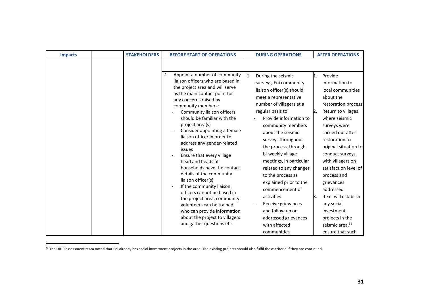| <b>Impacts</b> | <b>STAKEHOLDERS</b> | <b>BEFORE START OF OPERATIONS</b>                                                                                                                                                                                                                                                                                                                                                                                                                                                                                                                                                                                                                                                                                                           | <b>DURING OPERATIONS</b>                                                                                                                                                                                                                                                                                                                                                                                                                                                                                                                            | <b>AFTER OPERATIONS</b>                                                                                                                                                                                                                                                                                                                                                                                                                                |
|----------------|---------------------|---------------------------------------------------------------------------------------------------------------------------------------------------------------------------------------------------------------------------------------------------------------------------------------------------------------------------------------------------------------------------------------------------------------------------------------------------------------------------------------------------------------------------------------------------------------------------------------------------------------------------------------------------------------------------------------------------------------------------------------------|-----------------------------------------------------------------------------------------------------------------------------------------------------------------------------------------------------------------------------------------------------------------------------------------------------------------------------------------------------------------------------------------------------------------------------------------------------------------------------------------------------------------------------------------------------|--------------------------------------------------------------------------------------------------------------------------------------------------------------------------------------------------------------------------------------------------------------------------------------------------------------------------------------------------------------------------------------------------------------------------------------------------------|
|                |                     |                                                                                                                                                                                                                                                                                                                                                                                                                                                                                                                                                                                                                                                                                                                                             |                                                                                                                                                                                                                                                                                                                                                                                                                                                                                                                                                     |                                                                                                                                                                                                                                                                                                                                                                                                                                                        |
|                |                     | Appoint a number of community<br>1.<br>liaison officers who are based in<br>the project area and will serve<br>as the main contact point for<br>any concerns raised by<br>community members:<br>Community liaison officers<br>should be familiar with the<br>project area(s)<br>Consider appointing a female<br>liaison officer in order to<br>address any gender-related<br>issues<br>Ensure that every village<br>head and heads of<br>households have the contact<br>details of the community<br>liaison officer(s)<br>If the community liaison<br>officers cannot be based in<br>the project area, community<br>volunteers can be trained<br>who can provide information<br>about the project to villagers<br>and gather questions etc. | $\mathbf{1}$ .<br>During the seismic<br>surveys, Eni community<br>liaison officer(s) should<br>meet a representative<br>number of villagers at a<br>regular basis to:<br>Provide information to<br>community members<br>about the seismic<br>surveys throughout<br>the process, through<br>bi-weekly village<br>meetings, in particular<br>related to any changes<br>to the process as<br>explained prior to the<br>commencement of<br>activities<br>Receive grievances<br>and follow up on<br>addressed grievances<br>with affected<br>communities | Provide<br>1.<br>information to<br>local communities<br>about the<br>restoration process<br>Return to villages<br>D.<br>where seismic<br>surveys were<br>carried out after<br>restoration to<br>original situation to<br>conduct surveys<br>with villagers on<br>satisfaction level of<br>process and<br>grievances<br>addressed<br>If Eni will establish<br>B.<br>any social<br>investment<br>projects in the<br>seismic area, 36<br>ensure that such |

<sup>&</sup>lt;sup>36</sup> The DIHR assessment team noted that Eni already has social investment projects in the area. The existing projects should also fulfil these criteria if they are continued.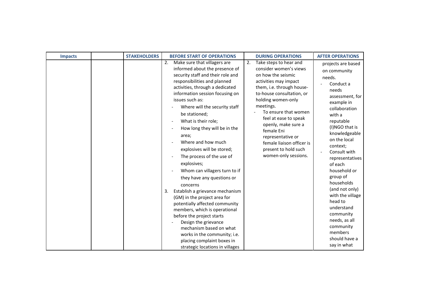| <b>Impacts</b> | <b>STAKEHOLDERS</b> | <b>BEFORE START OF OPERATIONS</b>                                                                                                                                                                                                                                                                                                                                                                                                                                                                                                                                                                                                                                                                                                                                                                                                                            | <b>DURING OPERATIONS</b>                                                                                                                                                                                                                                                                                                                                                                   | <b>AFTER OPERATIONS</b>                                                                                                                                                                                                                                                                                                                                                                                                                                 |
|----------------|---------------------|--------------------------------------------------------------------------------------------------------------------------------------------------------------------------------------------------------------------------------------------------------------------------------------------------------------------------------------------------------------------------------------------------------------------------------------------------------------------------------------------------------------------------------------------------------------------------------------------------------------------------------------------------------------------------------------------------------------------------------------------------------------------------------------------------------------------------------------------------------------|--------------------------------------------------------------------------------------------------------------------------------------------------------------------------------------------------------------------------------------------------------------------------------------------------------------------------------------------------------------------------------------------|---------------------------------------------------------------------------------------------------------------------------------------------------------------------------------------------------------------------------------------------------------------------------------------------------------------------------------------------------------------------------------------------------------------------------------------------------------|
|                |                     | Make sure that villagers are<br>2.<br>informed about the presence of<br>security staff and their role and<br>responsibilities and planned<br>activities, through a dedicated<br>information session focusing on<br>issues such as:<br>Where will the security staff<br>be stationed;<br>What is their role;<br>How long they will be in the<br>area;<br>Where and how much<br>explosives will be stored;<br>The process of the use of<br>explosives;<br>Whom can villagers turn to if<br>they have any questions or<br>concerns<br>Establish a grievance mechanism<br>3.<br>(GM) in the project area for<br>potentially affected community<br>members, which is operational<br>before the project starts<br>Design the grievance<br>mechanism based on what<br>works in the community; i.e.<br>placing complaint boxes in<br>strategic locations in villages | Take steps to hear and<br>2.<br>consider women's views<br>on how the seismic<br>activities may impact<br>them, i.e. through house-<br>to-house consultation, or<br>holding women-only<br>meetings.<br>To ensure that women<br>feel at ease to speak<br>openly, make sure a<br>female Eni<br>representative or<br>female liaison officer is<br>present to hold such<br>women-only sessions. | projects are based<br>on community<br>needs.<br>Conduct a<br>needs<br>assessment, for<br>example in<br>collaboration<br>with a<br>reputable<br>(I)NGO that is<br>knowledgeable<br>on the local<br>context;<br>Consult with<br>representatives<br>of each<br>household or<br>group of<br>households<br>(and not only)<br>with the village<br>head to<br>understand<br>community<br>needs, as all<br>community<br>members<br>should have a<br>say in what |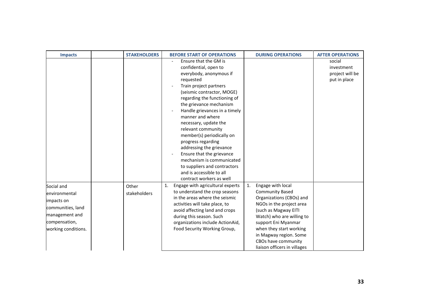| <b>Impacts</b>                                                                                                           | <b>STAKEHOLDERS</b>   | <b>BEFORE START OF OPERATIONS</b>                                                                                                                                                                                                                                                                                                                                                                                                                                                                                                              | <b>DURING OPERATIONS</b>                                                                                                                                                                                                                                                                          | <b>AFTER OPERATIONS</b>                                 |
|--------------------------------------------------------------------------------------------------------------------------|-----------------------|------------------------------------------------------------------------------------------------------------------------------------------------------------------------------------------------------------------------------------------------------------------------------------------------------------------------------------------------------------------------------------------------------------------------------------------------------------------------------------------------------------------------------------------------|---------------------------------------------------------------------------------------------------------------------------------------------------------------------------------------------------------------------------------------------------------------------------------------------------|---------------------------------------------------------|
|                                                                                                                          |                       | Ensure that the GM is<br>confidential, open to<br>everybody, anonymous if<br>requested<br>Train project partners<br>(seismic contractor, MOGE)<br>regarding the functioning of<br>the grievance mechanism<br>Handle grievances in a timely<br>manner and where<br>necessary, update the<br>relevant community<br>member(s) periodically on<br>progress regarding<br>addressing the grievance<br>Ensure that the grievance<br>mechanism is communicated<br>to suppliers and contractors<br>and is accessible to all<br>contract workers as well |                                                                                                                                                                                                                                                                                                   | social<br>investment<br>project will be<br>put in place |
| Social and<br>environmental<br>impacts on<br>communities, land<br>management and<br>compensation,<br>working conditions. | Other<br>stakeholders | Engage with agricultural experts<br>1.<br>to understand the crop seasons<br>in the areas where the seismic<br>activities will take place, to<br>avoid affecting land and crops<br>during this season. Such<br>organizations include ActionAid,<br>Food Security Working Group,                                                                                                                                                                                                                                                                 | Engage with local<br>1.<br><b>Community Based</b><br>Organizations (CBOs) and<br>NGOs in the project area<br>(such as Magway EITI<br>Watch) who are willing to<br>support Eni Myanmar<br>when they start working<br>in Magway region. Some<br>CBOs have community<br>liaison officers in villages |                                                         |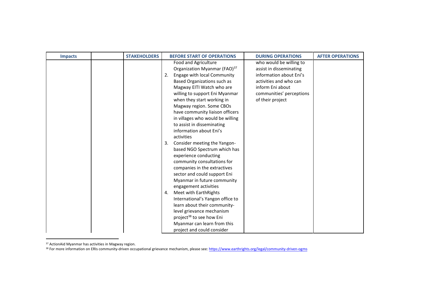| <b>Impacts</b> | <b>STAKEHOLDERS</b> | <b>BEFORE START OF OPERATIONS</b>                                                                                                                                                                                                                                                                                                                                                                                                                                                                                                                                                                                                                                                                                                                                                                 | <b>DURING OPERATIONS</b>                                                                                                                                                    | <b>AFTER OPERATIONS</b> |
|----------------|---------------------|---------------------------------------------------------------------------------------------------------------------------------------------------------------------------------------------------------------------------------------------------------------------------------------------------------------------------------------------------------------------------------------------------------------------------------------------------------------------------------------------------------------------------------------------------------------------------------------------------------------------------------------------------------------------------------------------------------------------------------------------------------------------------------------------------|-----------------------------------------------------------------------------------------------------------------------------------------------------------------------------|-------------------------|
|                |                     | Food and Agriculture<br>Organization Myanmar (FAO) <sup>37</sup><br>Engage with local Community<br>2.<br>Based Organizations such as<br>Magway EITI Watch who are<br>willing to support Eni Myanmar<br>when they start working in<br>Magway region. Some CBOs<br>have community liaison officers<br>in villages who would be willing<br>to assist in disseminating<br>information about Eni's<br>activities<br>Consider meeting the Yangon-<br>3.<br>based NGO Spectrum which has<br>experience conducting<br>community consultations for<br>companies in the extractives<br>sector and could support Eni<br>Myanmar in future community<br>engagement activities<br>Meet with EarthRights<br>4.<br>International's Yangon office to<br>learn about their community-<br>level grievance mechanism | who would be willing to<br>assist in disseminating<br>information about Eni's<br>activities and who can<br>inform Eni about<br>communities' perceptions<br>of their project |                         |
|                |                     | project <sup>38</sup> to see how Eni<br>Myanmar can learn from this<br>project and could consider                                                                                                                                                                                                                                                                                                                                                                                                                                                                                                                                                                                                                                                                                                 |                                                                                                                                                                             |                         |

<sup>37</sup> ActionAid Myanmar has activities in Magway region.

l

<sup>38</sup> For more information on ERIs community-driven occupational grievance mechanism, please see: <u>https://www.earthrights.org/legal/community-driven-ogms</u>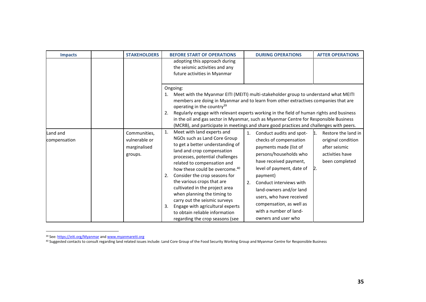| <b>Impacts</b>           | <b>STAKEHOLDERS</b>                                      | <b>BEFORE START OF OPERATIONS</b>                                                                                                                                                                                                                                                                                                                                                                                                                                                                                                        |          | <b>DURING OPERATIONS</b>                                                                                                                                                                                                                                                                                                                 | <b>AFTER OPERATIONS</b>                                                                                      |
|--------------------------|----------------------------------------------------------|------------------------------------------------------------------------------------------------------------------------------------------------------------------------------------------------------------------------------------------------------------------------------------------------------------------------------------------------------------------------------------------------------------------------------------------------------------------------------------------------------------------------------------------|----------|------------------------------------------------------------------------------------------------------------------------------------------------------------------------------------------------------------------------------------------------------------------------------------------------------------------------------------------|--------------------------------------------------------------------------------------------------------------|
|                          |                                                          | adopting this approach during<br>the seismic activities and any<br>future activities in Myanmar                                                                                                                                                                                                                                                                                                                                                                                                                                          |          |                                                                                                                                                                                                                                                                                                                                          |                                                                                                              |
|                          |                                                          | Ongoing:<br>Meet with the Myanmar EITI (MEITI) multi-stakeholder group to understand what MEITI<br>1.<br>members are doing in Myanmar and to learn from other extractives companies that are<br>operating in the country <sup>39</sup><br>Regularly engage with relevant experts working in the field of human rights and business<br>2.<br>in the oil and gas sector in Myanmar, such as Myanmar Centre for Responsible Business<br>(MCRB), and participate in meetings and share good practices and challenges with peers.             |          |                                                                                                                                                                                                                                                                                                                                          |                                                                                                              |
| Land and<br>compensation | Communities,<br>vulnerable or<br>marginalised<br>groups. | Meet with land experts and<br>1.<br>NGOs such as Land Core Group<br>to get a better understanding of<br>land and crop compensation<br>processes, potential challenges<br>related to compensation and<br>how these could be overcome. <sup>40</sup><br>Consider the crop seasons for<br>2.<br>the various crops that are<br>cultivated in the project area<br>when planning the timing to<br>carry out the seismic surveys<br>Engage with agricultural experts<br>3.<br>to obtain reliable information<br>regarding the crop seasons (see | 1.<br>2. | Conduct audits and spot-<br>checks of compensation<br>payments made (list of<br>persons/households who<br>have received payment,<br>level of payment, date of<br>payment)<br>Conduct interviews with<br>land-owners and/or land<br>users, who have received<br>compensation, as well as<br>with a number of land-<br>owners and user who | Restore the land in<br>11.<br>original condition<br>after seismic<br>activities have<br>been completed<br>D. |

<sup>&</sup>lt;sup>39</sup> See: <u>https://eiti.org/Myanmar</u> and <u>www.myanmareiti.org</u>

l

<sup>&</sup>lt;sup>40</sup> Suggested contacts to consult regarding land related issues include: Land Core Group of the Food Security Working Group and Myanmar Centre for Responsible Business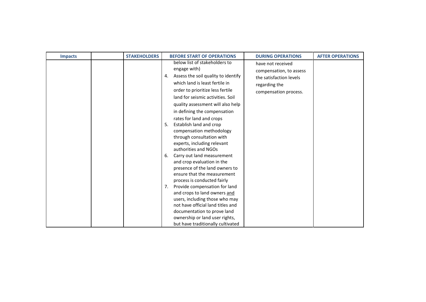| <b>Impacts</b> | <b>STAKEHOLDERS</b> | <b>BEFORE START OF OPERATIONS</b>                                                                                                                                                                                                                                          | <b>DURING OPERATIONS</b>                                                                                          | <b>AFTER OPERATIONS</b> |
|----------------|---------------------|----------------------------------------------------------------------------------------------------------------------------------------------------------------------------------------------------------------------------------------------------------------------------|-------------------------------------------------------------------------------------------------------------------|-------------------------|
|                |                     | below list of stakeholders to<br>engage with)<br>Assess the soil quality to identify<br>4.<br>which land is least fertile in<br>order to prioritize less fertile<br>land for seismic activities. Soil<br>quality assessment will also help<br>in defining the compensation | have not received<br>compensation, to assess<br>the satisfaction levels<br>regarding the<br>compensation process. |                         |
|                |                     | rates for land and crops<br>Establish land and crop<br>5.<br>compensation methodology<br>through consultation with<br>experts, including relevant<br>authorities and NGOs<br>Carry out land measurement<br>6.<br>and crop evaluation in the                                |                                                                                                                   |                         |
|                |                     | presence of the land owners to<br>ensure that the measurement<br>process is conducted fairly<br>Provide compensation for land<br>7.<br>and crops to land owners and<br>users, including those who may                                                                      |                                                                                                                   |                         |
|                |                     | not have official land titles and<br>documentation to prove land<br>ownership or land user rights,<br>but have traditionally cultivated                                                                                                                                    |                                                                                                                   |                         |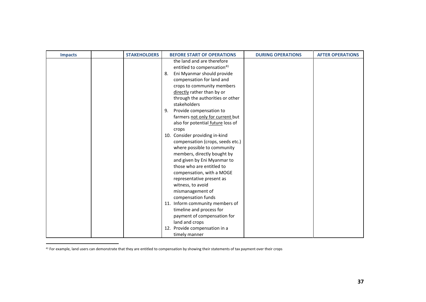| <b>Impacts</b> | <b>STAKEHOLDERS</b> | <b>BEFORE START OF OPERATIONS</b>                                                                                                                                                                                                                                                      | <b>DURING OPERATIONS</b> | <b>AFTER OPERATIONS</b> |
|----------------|---------------------|----------------------------------------------------------------------------------------------------------------------------------------------------------------------------------------------------------------------------------------------------------------------------------------|--------------------------|-------------------------|
|                |                     | the land and are therefore<br>entitled to compensation <sup>41</sup><br>Eni Myanmar should provide<br>8.<br>compensation for land and<br>crops to community members<br>directly rather than by or<br>through the authorities or other<br>stakeholders<br>Provide compensation to<br>9. |                          |                         |
|                |                     | farmers not only for current but<br>also for potential future loss of<br>crops                                                                                                                                                                                                         |                          |                         |
|                |                     | 10. Consider providing in-kind<br>compensation (crops, seeds etc.)<br>where possible to community<br>members, directly bought by<br>and given by Eni Myanmar to<br>those who are entitled to                                                                                           |                          |                         |
|                |                     | compensation, with a MOGE<br>representative present as<br>witness, to avoid<br>mismanagement of<br>compensation funds                                                                                                                                                                  |                          |                         |
|                |                     | 11. Inform community members of<br>timeline and process for<br>payment of compensation for<br>land and crops<br>12. Provide compensation in a<br>timely manner                                                                                                                         |                          |                         |

<sup>&</sup>lt;sup>41</sup> For example, land users can demonstrate that they are entitled to compensation by showing their statements of tax payment over their crops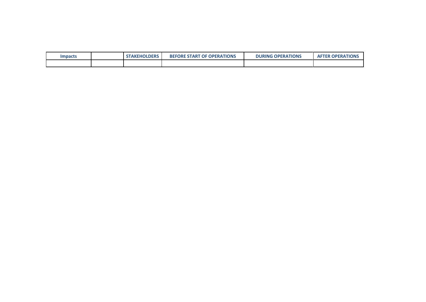| <b>Impacts</b> | <b>STAKEHOLDERS</b> | <b>BEFORE START</b><br><b>OF OPERATIONS</b> | <b>DURING OPERATIONS</b> | <b>AFTER OPERATIONS</b> |
|----------------|---------------------|---------------------------------------------|--------------------------|-------------------------|
|                |                     |                                             |                          |                         |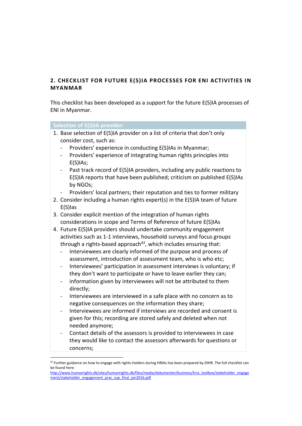# <span id="page-38-0"></span>**2. CHECKLIST FOR FUTURE E(S)IA PROCESSES FOR ENI ACTIVITIES IN MYANMAR**

This checklist has been developed as a support for the future E(S)IA processes of ENI in Myanmar.

## **Selection of E(S)IA provider:**

- 1. Base selection of E(S)IA provider on a list of criteria that don't only consider cost, such as:
	- Providers' experience in conducting E(S)IAs in Myanmar;
	- Providers' experience of integrating human rights principles into E(S)IAs;
	- Past track record of E(S)IA providers, including any public reactions to E(S)IA reports that have been published; criticism on published E(S)IAs by NGOs;
	- Providers' local partners; their reputation and ties to former military
- 2. Consider including a human rights expert(s) in the E(S)IA team of future E(S)Ias
- 3. Consider explicit mention of the integration of human rights considerations in scope and Terms of Reference of future E(S)IAs
- 4. Future E(S)IA providers should undertake community engagement activities such as 1-1 interviews, household surveys and focus groups through a rights-based approach $42$ , which includes ensuring that:
	- Interviewees are clearly informed of the purpose and process of assessment, introduction of assessment team, who is who etc;
	- Interviewees' participation in assessment interviews is voluntary; if they don't want to participate or have to leave earlier they can;
	- information given by interviewees will not be attributed to them directly;
	- Interviewees are interviewed in a safe place with no concern as to negative consequences on the information they share;
	- Interviewees are informed if interviews are recorded and consent is given for this; recording are stored safely and deleted when not needed anymore;
	- Contact details of the assessors is provided to interviewees in case they would like to contact the assessors afterwards for questions or concerns;

 $42$  Further guidance on how to engage with rights-holders during HRIAs has been prepared by DIHR. The full checklist can be found here:

[http://www.humanrights.dk/sites/humanrights.dk/files/media/dokumenter/business/hria\\_toolbox/stakeholder\\_engage](http://www.humanrights.dk/sites/humanrights.dk/files/media/dokumenter/business/hria_toolbox/stakeholder_engagement/stakeholder_engagement_prac_sup_final_jan2016.pdf) [ment/stakeholder\\_engagement\\_prac\\_sup\\_final\\_jan2016.pdf](http://www.humanrights.dk/sites/humanrights.dk/files/media/dokumenter/business/hria_toolbox/stakeholder_engagement/stakeholder_engagement_prac_sup_final_jan2016.pdf)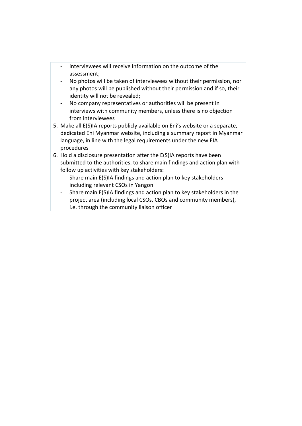- interviewees will receive information on the outcome of the assessment;
- No photos will be taken of interviewees without their permission, nor any photos will be published without their permission and if so, their identity will not be revealed;
- No company representatives or authorities will be present in interviews with community members, unless there is no objection from interviewees
- 5. Make all E(S)IA reports publicly available on Eni's website or a separate, dedicated Eni Myanmar website, including a summary report in Myanmar language, in line with the legal requirements under the new EIA procedures
- 6. Hold a disclosure presentation after the E(S)IA reports have been submitted to the authorities, to share main findings and action plan with follow up activities with key stakeholders:
	- Share main E(S)IA findings and action plan to key stakeholders including relevant CSOs in Yangon
	- Share main E(S)IA findings and action plan to key stakeholders in the project area (including local CSOs, CBOs and community members), i.e. through the community liaison officer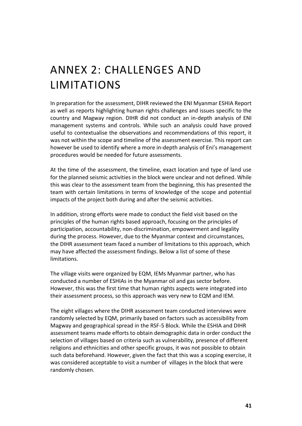# <span id="page-40-0"></span>ANNEX 2: CHALLENGES AND LIMITATIONS

In preparation for the assessment, DIHR reviewed the ENI Myanmar ESHIA Report as well as reports highlighting human rights challenges and issues specific to the country and Magway region. DIHR did not conduct an in-depth analysis of ENI management systems and controls. While such an analysis could have proved useful to contextualise the observations and recommendations of this report, it was not within the scope and timeline of the assessment exercise. This report can however be used to identify where a more in-depth analysis of Eni's management procedures would be needed for future assessments.

At the time of the assessment, the timeline, exact location and type of land use for the planned seismic activities in the block were unclear and not defined. While this was clear to the assessment team from the beginning, this has presented the team with certain limitations in terms of knowledge of the scope and potential impacts of the project both during and after the seismic activities.

In addition, strong efforts were made to conduct the field visit based on the principles of the human rights based approach, focusing on the principles of participation, accountability, non-discrimination, empowerment and legality during the process. However, due to the Myanmar context and circumstances, the DIHR assessment team faced a number of limitations to this approach, which may have affected the assessment findings. Below a list of some of these limitations.

The village visits were organized by EQM, IEMs Myanmar partner, who has conducted a number of ESHIAs in the Myanmar oil and gas sector before. However, this was the first time that human rights aspects were integrated into their assessment process, so this approach was very new to EQM and IEM.

The eight villages where the DIHR assessment team conducted interviews were randomly selected by EQM, primarily based on factors such as accessibility from Magway and geographical spread in the RSF-5 Block. While the ESHIA and DIHR assessment teams made efforts to obtain demographic data in order conduct the selection of villages based on criteria such as vulnerability, presence of different religions and ethnicities and other specific groups, it was not possible to obtain such data beforehand. However, given the fact that this was a scoping exercise, it was considered acceptable to visit a number of villages in the block that were randomly chosen.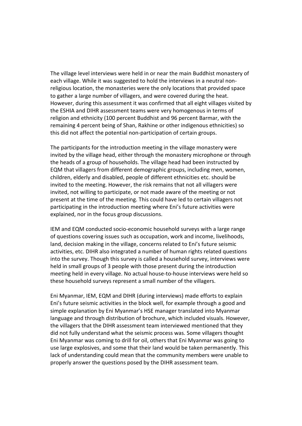The village level interviews were held in or near the main Buddhist monastery of each village. While it was suggested to hold the interviews in a neutral nonreligious location, the monasteries were the only locations that provided space to gather a large number of villagers, and were covered during the heat. However, during this assessment it was confirmed that all eight villages visited by the ESHIA and DIHR assessment teams were very homogenous in terms of religion and ethnicity (100 percent Buddhist and 96 percent Barmar, with the remaining 4 percent being of Shan, Rakhine or other indigenous ethnicities) so this did not affect the potential non-participation of certain groups.

The participants for the introduction meeting in the village monastery were invited by the village head, either through the monastery microphone or through the heads of a group of households. The village head had been instructed by EQM that villagers from different demographic groups, including men, women, children, elderly and disabled, people of different ethnicities etc. should be invited to the meeting. However, the risk remains that not all villagers were invited, not willing to participate, or not made aware of the meeting or not present at the time of the meeting. This could have led to certain villagers not participating in the introduction meeting where Eni's future activities were explained, nor in the focus group discussions.

IEM and EQM conducted socio-economic household surveys with a large range of questions covering issues such as occupation, work and income, livelihoods, land, decision making in the village, concerns related to Eni's future seismic activities, etc. DIHR also integrated a number of human rights related questions into the survey. Though this survey is called a household survey, interviews were held in small groups of 3 people with those present during the introduction meeting held in every village. No actual house-to-house interviews were held so these household surveys represent a small number of the villagers.

Eni Myanmar, IEM, EQM and DIHR (during interviews) made efforts to explain Eni's future seismic activities in the block well, for example through a good and simple explanation by Eni Myanmar's HSE manager translated into Myanmar language and through distribution of brochure, which included visuals. However, the villagers that the DIHR assessment team interviewed mentioned that they did not fully understand what the seismic process was. Some villagers thought Eni Myanmar was coming to drill for oil, others that Eni Myanmar was going to use large explosives, and some that their land would be taken permanently. This lack of understanding could mean that the community members were unable to properly answer the questions posed by the DIHR assessment team.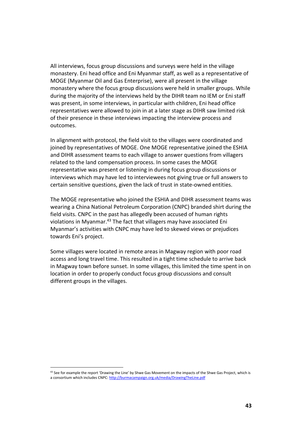All interviews, focus group discussions and surveys were held in the village monastery. Eni head office and Eni Myanmar staff, as well as a representative of MOGE (Myanmar Oil and Gas Enterprise), were all present in the village monastery where the focus group discussions were held in smaller groups. While during the majority of the interviews held by the DIHR team no IEM or Eni staff was present, in some interviews, in particular with children, Eni head office representatives were allowed to join in at a later stage as DIHR saw limited risk of their presence in these interviews impacting the interview process and outcomes.

In alignment with protocol, the field visit to the villages were coordinated and joined by representatives of MOGE. One MOGE representative joined the ESHIA and DIHR assessment teams to each village to answer questions from villagers related to the land compensation process. In some cases the MOGE representative was present or listening in during focus group discussions or interviews which may have led to interviewees not giving true or full answers to certain sensitive questions, given the lack of trust in state-owned entities.

The MOGE representative who joined the ESHIA and DIHR assessment teams was wearing a China National Petroleum Corporation (CNPC) branded shirt during the field visits. CNPC in the past has allegedly been accused of human rights violations in Myanmar.<sup>43</sup> The fact that villagers may have associated Eni Myanmar's activities with CNPC may have led to skewed views or prejudices towards Eni's project.

Some villages were located in remote areas in Magway region with poor road access and long travel time. This resulted in a tight time schedule to arrive back in Magway town before sunset. In some villages, this limited the time spent in on location in order to properly conduct focus group discussions and consult different groups in the villages.

<sup>43</sup> See for example the report 'Drawing the Line' by Shwe Gas Movement on the impacts of the Shwe Gas Project, which is a consortium which includes CNPC[: http://burmacampaign.org.uk/media/DrawingTheLine.pdf](http://burmacampaign.org.uk/media/DrawingTheLine.pdf)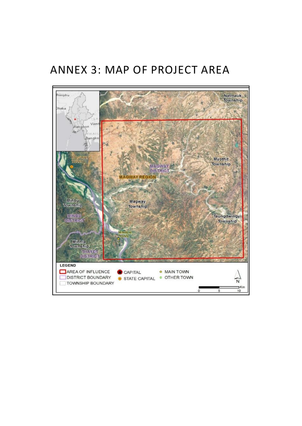# <span id="page-43-0"></span>ANNEX 3: MAP OF PROJECT AREA

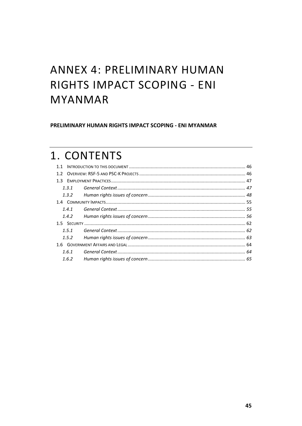# <span id="page-44-0"></span>**ANNEX 4: PRELIMINARY HUMAN** RIGHTS IMPACT SCOPING - ENI **MYANMAR**

PRELIMINARY HUMAN RIGHTS IMPACT SCOPING - ENI MYANMAR

# 1. CONTENTS

| 1.3.1 |  |  |  |
|-------|--|--|--|
| 1.3.2 |  |  |  |
|       |  |  |  |
| 1.4.1 |  |  |  |
| 1.4.2 |  |  |  |
|       |  |  |  |
| 1.5.1 |  |  |  |
| 1.5.2 |  |  |  |
|       |  |  |  |
| 1.6.1 |  |  |  |
| 1.6.2 |  |  |  |
|       |  |  |  |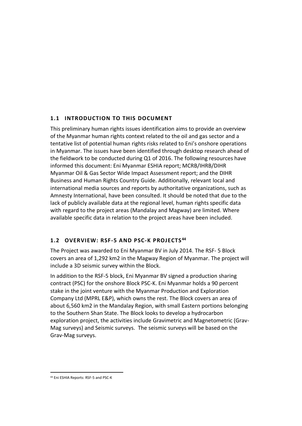# <span id="page-45-0"></span>**1.1 INTRODUCTION TO THIS DOCUMENT**

This preliminary human rights issues identification aims to provide an overview of the Myanmar human rights context related to the oil and gas sector and a tentative list of potential human rights risks related to Eni's onshore operations in Myanmar. The issues have been identified through desktop research ahead of the fieldwork to be conducted during Q1 of 2016. The following resources have informed this document: Eni Myanmar ESHIA report; MCRB/IHRB/DIHR Myanmar Oil & Gas Sector Wide Impact Assessment report; and the DIHR Business and Human Rights Country Guide. Additionally, relevant local and international media sources and reports by authoritative organizations, such as Amnesty International, have been consulted. It should be noted that due to the lack of publicly available data at the regional level, human rights specific data with regard to the project areas (Mandalay and Magway) are limited. Where available specific data in relation to the project areas have been included.

# <span id="page-45-1"></span>**1.2 OVERVIEW: RSF-5 AND PSC-K PROJECTS <sup>44</sup>**

The Project was awarded to Eni Myanmar BV in July 2014. The RSF- 5 Block covers an area of 1,292 km2 in the Magway Region of Myanmar. The project will include a 3D seismic survey within the Block.

In addition to the RSF-5 block, Eni Myanmar BV signed a production sharing contract (PSC) for the onshore Block PSC-K. Eni Myanmar holds a 90 percent stake in the joint venture with the Myanmar Production and Exploration Company Ltd (MPRL E&P), which owns the rest. The Block covers an area of about 6,560 km2 in the Mandalay Region, with small Eastern portions belonging to the Southern Shan State. The Block looks to develop a hydrocarbon exploration project, the activities include Gravimetric and Magnetometric (Grav-Mag surveys) and Seismic surveys. The seismic surveys will be based on the Grav-Mag surveys.

<sup>44</sup> Eni ESHIA Reports: RSF-5 and PSC-K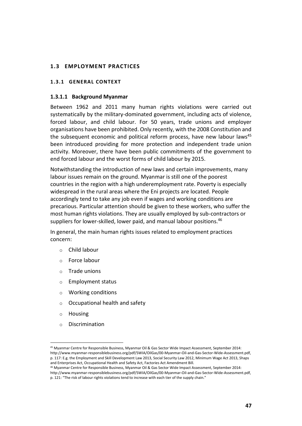## <span id="page-46-0"></span>**1.3 EMPLOYMENT PRACTICES**

### <span id="page-46-1"></span>**1.3.1 GENERAL CONTEXT**

#### **1.3.1.1 Background Myanmar**

Between 1962 and 2011 many human rights violations were carried out systematically by the military-dominated government, including acts of violence, forced labour, and child labour. For 50 years, trade unions and employer organisations have been prohibited. Only recently, with the 2008 Constitution and the subsequent economic and political reform process, have new labour laws<sup>45</sup> been introduced providing for more protection and independent trade union activity. Moreover, there have been public commitments of the government to end forced labour and the worst forms of child labour by 2015.

Notwithstanding the introduction of new laws and certain improvements, many labour issues remain on the ground. Myanmar is still one of the poorest countries in the region with a high underemployment rate. Poverty is especially widespread in the rural areas where the Eni projects are located. People accordingly tend to take any job even if wages and working conditions are precarious. Particular attention should be given to these workers, who suffer the most human rights violations. They are usually employed by sub-contractors or suppliers for lower-skilled, lower paid, and manual labour positions.<sup>46</sup>

In general, the main human rights issues related to employment practices concern:

- o Child labour
- o Force labour
- o Trade unions
- o Employment status
- o Working conditions
- o Occupational health and safety
- o Housing

 $\overline{a}$ 

o Discrimination

<sup>45</sup> Myanmar Centre for Responsible Business, Myanmar Oil & Gas Sector Wide Impact Assessment, September 2014: http://www.myanmar-responsiblebusiness.org/pdf/SWIA/OilGas/00-Myanmar-Oil-and-Gas-Sector-Wide-Assessment.pdf, p. 117: E.g. the Employment and Skill Development Law 2013, Social Security Law 2012, Minimum Wage Act 2013, Shaps and Enterprises Act, Occupational Health and Safety Act, Factories Act Amendment Bill.

<sup>46</sup> Myanmar Centre for Responsible Business, Myanmar Oil & Gas Sector Wide Impact Assessment, September 2014: http://www.myanmar-responsiblebusiness.org/pdf/SWIA/OilGas/00-Myanmar-Oil-and-Gas-Sector-Wide-Assessment.pdf, p. 121: "The risk of labour rights violations tend to increase with each tier of the supply chain."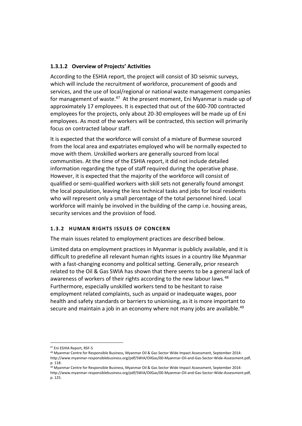# **1.3.1.2 Overview of Projects' Activities**

According to the ESHIA report, the project will consist of 3D seismic surveys, which will include the recruitment of workforce, procurement of goods and services, and the use of local/regional or national waste management companies for management of waste.<sup>47</sup> At the present moment, Eni Myanmar is made up of approximately 17 employees. It is expected that out of the 600-700 contracted employees for the projects, only about 20-30 employees will be made up of Eni employees. As most of the workers will be contracted, this section will primarily focus on contracted labour staff.

It is expected that the workforce will consist of a mixture of Burmese sourced from the local area and expatriates employed who will be normally expected to move with them. Unskilled workers are generally sourced from local communities. At the time of the ESHIA report, it did not include detailed information regarding the type of staff required during the operative phase. However, it is expected that the majority of the workforce will consist of qualified or semi-qualified workers with skill sets not generally found amongst the local population, leaving the less technical tasks and jobs for local residents who will represent only a small percentage of the total personnel hired. Local workforce will mainly be involved in the building of the camp i.e. housing areas, security services and the provision of food.

# <span id="page-47-0"></span>**1.3.2 HUMAN RIGHTS ISSUES OF CONCERN**

The main issues related to employment practices are described below.

Limited data on employment practices in Myanmar is publicly available, and it is difficult to predefine all relevant human rights issues in a country like Myanmar with a fast-changing economy and political setting. Generally, prior research related to the Oil & Gas SWIA has shown that there seems to be a general lack of awareness of workers of their rights according to the new labour laws.<sup>48</sup> Furthermore, especially unskilled workers tend to be hesitant to raise employment related complaints, such as unpaid or inadequate wages, poor health and safety standards or barriers to unionising, as it is more important to secure and maintain a job in an economy where not many jobs are available.<sup>49</sup>

<sup>47</sup> Eni ESHIA Report, RSF-5

<sup>48</sup> Myanmar Centre for Responsible Business, Myanmar Oil & Gas Sector Wide Impact Assessment, September 2014: http://www.myanmar-responsiblebusiness.org/pdf/SWIA/OilGas/00-Myanmar-Oil-and-Gas-Sector-Wide-Assessment.pdf, p. 118.

<sup>49</sup> Myanmar Centre for Responsible Business, Myanmar Oil & Gas Sector Wide Impact Assessment, September 2014: http://www.myanmar-responsiblebusiness.org/pdf/SWIA/OilGas/00-Myanmar-Oil-and-Gas-Sector-Wide-Assessment.pdf, p. 125.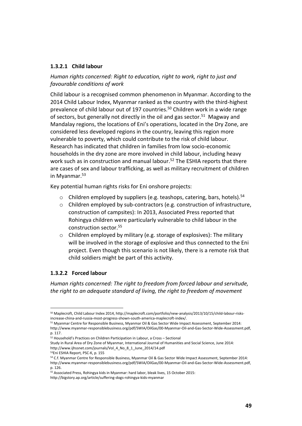## **1.3.2.1 Child labour**

*Human rights concerned: Right to education, right to work, right to just and favourable conditions of work* 

Child labour is a recognised common phenomenon in Myanmar. According to the 2014 Child Labour Index, Myanmar ranked as the country with the third-highest prevalence of child labour out of 197 countries.<sup>50</sup> Children work in a wide range of sectors, but generally not directly in the oil and gas sector.<sup>51</sup> Magway and Mandalay regions, the locations of Eni's operations, located in the Dry Zone, are considered less developed regions in the country, leaving this region more vulnerable to poverty, which could contribute to the risk of child labour. Research has indicated that children in families from low socio-economic households in the dry zone are more involved in child labour, including heavy work such as in construction and manual labour.<sup>52</sup> The ESHIA reports that there are cases of sex and labour trafficking, as well as military recruitment of children in Myanmar.<sup>53</sup>

Key potential human rights risks for Eni onshore projects:

- $\circ$  Children employed by suppliers (e.g. teashops, catering, bars, hotels).<sup>54</sup>
- o Children employed by sub-contractors (e.g. construction of infrastructure, construction of campsites): In 2013, Associated Press reported that Rohingya children were particularly vulnerable to child labour in the construction sector.<sup>55</sup>
- o Children employed by military (e.g. storage of explosives): The military will be involved in the storage of explosive and thus connected to the Eni project. Even though this scenario is not likely, there is a remote risk that child soldiers might be part of this activity.

# **1.3.2.2 Forced labour**

 $\overline{a}$ 

*Human rights concerned: The right to freedom from forced labour and servitude, the right to an adequate standard of living, the right to freedom of movement*

<sup>50</sup> Maplecroft, Child Labour Index 2014, http://maplecroft.com/portfolio/new-analysis/2013/10/15/child-labour-risksincrease-china-and-russia-most-progress-shown-south-america-maplecroft-index/.

<sup>51</sup> Myanmar Centre for Responsible Business, Myanmar Oil & Gas Sector Wide Impact Assessment, September 2014: http://www.myanmar-responsiblebusiness.org/pdf/SWIA/OilGas/00-Myanmar-Oil-and-Gas-Sector-Wide-Assessment.pdf, p. 117.

 $52$  Household's Practices on Children Participation in Labour, a Cross – Sectional

Study in Rural Area of Dry Zone of Myanmar, International Journal of Humanities and Social Science, June 2014: http://www.ijhssnet.com/journals/Vol\_4\_No\_8\_1\_June\_2014/14.pdf

<sup>53</sup>Eni ESHIA Report, PSC-K, p. 155

<sup>54</sup> C.f. Myanmar Centre for Responsible Business, Myanmar Oil & Gas Sector Wide Impact Assessment, September 2014: http://www.myanmar-responsiblebusiness.org/pdf/SWIA/OilGas/00-Myanmar-Oil-and-Gas-Sector-Wide-Assessment.pdf, p. 126.

<sup>55</sup> Associated Press, Rohingya kids in Myanmar: hard labor, bleak lives, 15 October 2015:

http://bigstory.ap.org/article/suffering-dogs-rohingya-kids-myanmar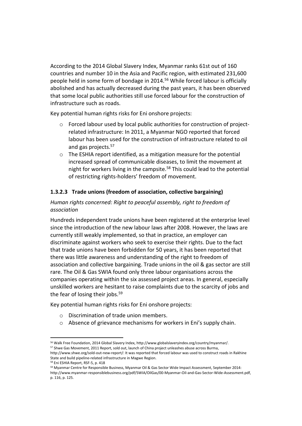According to the 2014 Global Slavery Index, Myanmar ranks 61st out of 160 countries and number 10 in the Asia and Pacific region, with estimated 231,600 people held in some form of bondage in 2014.<sup>56</sup> While forced labour is officially abolished and has actually decreased during the past years, it has been observed that some local public authorities still use forced labour for the construction of infrastructure such as roads.

Key potential human rights risks for Eni onshore projects:

- o Forced labour used by local public authorities for construction of projectrelated infrastructure: In 2011, a Myanmar NGO reported that forced labour has been used for the construction of infrastructure related to oil and gas projects.<sup>57</sup>
- o The ESHIA report identified, as a mitigation measure for the potential increased spread of communicable diseases, to limit the movement at night for workers living in the campsite.<sup>58</sup> This could lead to the potential of restricting rights-holders' freedom of movement.

# **1.3.2.3 Trade unions (freedom of association, collective bargaining)**

# *Human rights concerned: Right to peaceful assembly, right to freedom of association*

Hundreds independent trade unions have been registered at the enterprise level since the introduction of the new labour laws after 2008. However, the laws are currently still weakly implemented, so that in practice, an employer can discriminate against workers who seek to exercise their rights. Due to the fact that trade unions have been forbidden for 50 years, it has been reported that there was little awareness and understanding of the right to freedom of association and collective bargaining. Trade unions in the oil & gas sector are still rare. The Oil & Gas SWIA found only three labour organisations across the companies operating within the six assessed project areas. In general, especially unskilled workers are hesitant to raise complaints due to the scarcity of jobs and the fear of losing their jobs. $59$ 

Key potential human rights risks for Eni onshore projects:

- o Discrimination of trade union members.
- o Absence of grievance mechanisms for workers in Eni's supply chain.

<sup>56</sup> Walk Free Foundation, 2014 Global Slavery Index, http://www.globalslaveryindex.org/country/myanmar/. <sup>57</sup> Shwe Gas Movement, 2011 Report, sold out, launch of China project unleashes abuse across Burma, http://www.shwe.org/sold-out-new-report/: It was reported that forced labour was used to construct roads in Rakhine

State and build pipeline-related infrastructure in Magwe Region.

<sup>58</sup> Eni ESHIA Report, RSF-5, p. 418

<sup>59</sup> Myanmar Centre for Responsible Business, Myanmar Oil & Gas Sector Wide Impact Assessment, September 2014: http://www.myanmar-responsiblebusiness.org/pdf/SWIA/OilGas/00-Myanmar-Oil-and-Gas-Sector-Wide-Assessment.pdf, p. 116, p. 125.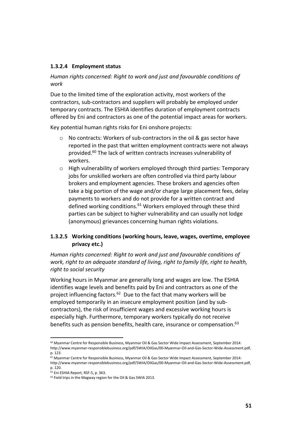## **1.3.2.4 Employment status**

# *Human rights concerned: Right to work and just and favourable conditions of work*

Due to the limited time of the exploration activity, most workers of the contractors, sub-contractors and suppliers will probably be employed under temporary contracts. The ESHIA identifies duration of employment contracts offered by Eni and contractors as one of the potential impact areas for workers.

Key potential human rights risks for Eni onshore projects:

- o No contracts: Workers of sub-contractors in the oil & gas sector have reported in the past that written employment contracts were not always provided.<sup>60</sup> The lack of written contracts increases vulnerability of workers.
- o High vulnerability of workers employed through third parties: Temporary jobs for unskilled workers are often controlled via third party labour brokers and employment agencies. These brokers and agencies often take a big portion of the wage and/or charge large placement fees, delay payments to workers and do not provide for a written contract and defined working conditions.<sup>61</sup> Workers employed through these third parties can be subject to higher vulnerability and can usually not lodge (anonymous) grievances concerning human rights violations.

# **1.3.2.5 Working conditions (working hours, leave, wages, overtime, employee privacy etc.)**

*Human rights concerned: Right to work and just and favourable conditions of work, right to an adequate standard of living, right to family life, right to health, right to social security*

Working hours in Myanmar are generally long and wages are low. The ESHIA identifies wage levels and benefits paid by Eni and contractors as one of the project influencing factors.<sup>62</sup> Due to the fact that many workers will be employed temporarily in an insecure employment position (and by subcontractors), the risk of insufficient wages and excessive working hours is especially high. Furthermore, temporary workers typically do not receive benefits such as pension benefits, health care, insurance or compensation.<sup>63</sup>

<sup>&</sup>lt;sup>60</sup> Myanmar Centre for Responsible Business, Myanmar Oil & Gas Sector Wide Impact Assessment, September 2014: http://www.myanmar-responsiblebusiness.org/pdf/SWIA/OilGas/00-Myanmar-Oil-and-Gas-Sector-Wide-Assessment.pdf, p. 123.

<sup>&</sup>lt;sup>61</sup> Myanmar Centre for Responsible Business, Myanmar Oil & Gas Sector Wide Impact Assessment, September 2014: http://www.myanmar-responsiblebusiness.org/pdf/SWIA/OilGas/00-Myanmar-Oil-and-Gas-Sector-Wide-Assessment.pdf, p. 120.

<sup>62</sup> Eni ESHIA Report, RSF-5, p. 363.

<sup>63</sup> Field trips in the Magway region for the Oil & Gas SWIA 2013.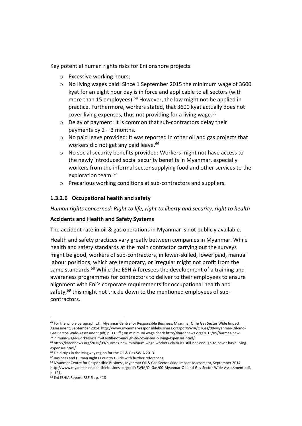Key potential human rights risks for Eni onshore projects:

- o Excessive working hours;
- o No living wages paid: Since 1 September 2015 the minimum wage of 3600 kyat for an eight hour day is in force and applicable to all sectors (with more than 15 employees).<sup>64</sup> However, the law might not be applied in practice. Furthermore, workers stated, that 3600 kyat actually does not cover living expenses, thus not providing for a living wage.<sup>65</sup>
- o Delay of payment: It is common that sub-contractors delay their payments by  $2 - 3$  months.
- o No paid leave provided: It was reported in other oil and gas projects that workers did not get any paid leave.<sup>66</sup>
- o No social security benefits provided: Workers might not have access to the newly introduced social security benefits in Myanmar, especially workers from the informal sector supplying food and other services to the exploration team.<sup>67</sup>
- o Precarious working conditions at sub-contractors and suppliers.

# **1.3.2.6 Occupational health and safety**

*Human rights concerned: Right to life, right to liberty and security, right to health*

## **Accidents and Health and Safety Systems**

The accident rate in oil & gas operations in Myanmar is not publicly available.

Health and safety practices vary greatly between companies in Myanmar. While health and safety standards at the main contractor carrying out the surveys might be good, workers of sub-contractors, in lower-skilled, lower paid, manual labour positions, which are temporary, or irregular might not profit from the same standards.<sup>68</sup> While the ESHIA foresees the development of a training and awareness programmes for contractors to deliver to their employees to ensure alignment with Eni's corporate requirements for occupational health and safety,<sup>69</sup> this might not trickle down to the mentioned employees of subcontractors.

<sup>64</sup> For the whole paragraph c.f.: Myanmar Centre for Responsible Business, Myanmar Oil & Gas Sector Wide Impact Assessment, September 2014: http://www.myanmar-responsiblebusiness.org/pdf/SWIA/OilGas/00-Myanmar-Oil-and-Gas-Sector-Wide-Assessment.pdf, p. 115 ff.; on minimum wage check http://karennews.org/2015/09/burmas-newminimum-wage-workers-claim-its-still-not-enough-to-cover-basic-living-expenses.html/

<sup>65</sup> http://karennews.org/2015/09/burmas-new-minimum-wage-workers-claim-its-still-not-enough-to-cover-basic-livingexpenses.html/

<sup>66</sup> Field trips in the Magway region for the Oil & Gas SWIA 2013.

<sup>67</sup> Business and Human Rights Country Guide with further references.

<sup>&</sup>lt;sup>68</sup> Myanmar Centre for Responsible Business, Myanmar Oil & Gas Sector Wide Impact Assessment, September 2014: http://www.myanmar-responsiblebusiness.org/pdf/SWIA/OilGas/00-Myanmar-Oil-and-Gas-Sector-Wide-Assessment.pdf,

p. 121.

<sup>69</sup> Eni ESHIA Report, RSF-5 , p. 418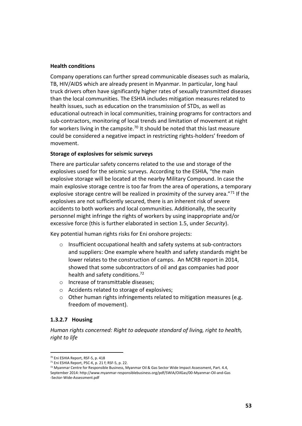#### **Health conditions**

Company operations can further spread communicable diseases such as malaria, TB, HIV/AIDS which are already present in Myanmar. In particular, long haul truck drivers often have significantly higher rates of sexually transmitted diseases than the local communities. The ESHIA includes mitigation measures related to health issues, such as education on the transmission of STDs, as well as educational outreach in local communities, training programs for contractors and sub-contractors, monitoring of local trends and limitation of movement at night for workers living in the campsite.<sup>70</sup> It should be noted that this last measure could be considered a negative impact in restricting rights-holders' freedom of movement.

#### **Storage of explosives for seismic surveys**

There are particular safety concerns related to the use and storage of the explosives used for the seismic surveys. According to the ESHIA, "the main explosive storage will be located at the nearby Military Compound. In case the main explosive storage centre is too far from the area of operations, a temporary explosive storage centre will be realized in proximity of the survey area."71 If the explosives are not sufficiently secured, there is an inherent risk of severe accidents to both workers and local communities. Additionally, the security personnel might infringe the rights of workers by using inappropriate and/or excessive force (this is further elaborated in section 1.5, under *Security*).

Key potential human rights risks for Eni onshore projects:

- o Insufficient occupational health and safety systems at sub-contractors and suppliers: One example where health and safety standards might be lower relates to the construction of camps. An MCRB report in 2014, showed that some subcontractors of oil and gas companies had poor health and safety conditions.<sup>72</sup>
- o Increase of transmittable diseases;
- o Accidents related to storage of explosives;
- o Other human rights infringements related to mitigation measures (e.g. freedom of movement).

## **1.3.2.7 Housing**

 $\overline{a}$ 

*Human rights concerned: Right to adequate standard of living, right to health, right to life*

<sup>70</sup> Eni ESHIA Report, RSF-5, p. 418

<sup>71</sup> Eni ESHIA Report, PSC-K, p. 21 f; RSF-5, p. 22.

<sup>72</sup> Myanmar Centre for Responsible Business, Myanmar Oil & Gas Sector Wide Impact Assessment, Part. 4.4, September 2014: http://www.myanmar-responsiblebusiness.org/pdf/SWIA/OilGas/00-Myanmar-Oil-and-Gas -Sector-Wide-Assessment.pdf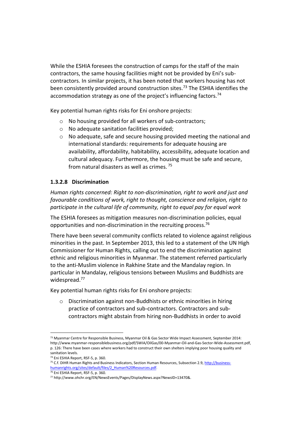While the ESHIA foresees the construction of camps for the staff of the main contractors, the same housing facilities might not be provided by Eni's subcontractors. In similar projects, it has been noted that workers housing has not been consistently provided around construction sites.<sup>73</sup> The ESHIA identifies the accommodation strategy as one of the project's influencing factors.<sup>74</sup>

Key potential human rights risks for Eni onshore projects:

- o No housing provided for all workers of sub-contractors;
- o No adequate sanitation facilities provided;
- $\circ$  No adequate, safe and secure housing provided meeting the national and international standards: requirements for adequate housing are availability, affordability, habitability, accessibility, adequate location and cultural adequacy. Furthermore, the housing must be safe and secure, from natural disasters as well as crimes. <sup>75</sup>

# **1.3.2.8 Discrimination**

*Human rights concerned: Right to non-discrimination, right to work and just and favourable conditions of work, right to thought, conscience and religion, right to participate in the cultural life of community, right to equal pay for equal work*

The ESHIA foresees as mitigation measures non-discrimination policies, equal opportunities and non-discrimination in the recruiting process.<sup>76</sup>

There have been several community conflicts related to violence against religious minorities in the past. In September 2013, this led to a statement of the UN High Commissioner for Human Rights, calling out to end the discrimination against ethnic and religious minorities in Myanmar. The statement referred particularly to the anti-Muslim violence in Rakhine State and the Mandalay region. In particular in Mandalay, religious tensions between Muslims and Buddhists are widespread.<sup>77</sup>

Key potential human rights risks for Eni onshore projects:

o Discrimination against non-Buddhists or ethnic minorities in hiring practice of contractors and sub-contractors. Contractors and subcontractors might abstain from hiring non-Buddhists in order to avoid

<sup>73</sup> Myanmar Centre for Responsible Business, Myanmar Oil & Gas Sector Wide Impact Assessment, September 2014: http://www.myanmar-responsiblebusiness.org/pdf/SWIA/OilGas/00-Myanmar-Oil-and-Gas-Sector-Wide-Assessment.pdf, p. 126: There have been cases where workers had to construct their own shelters implying poor housing quality and sanitation levels.

<sup>74</sup> Eni ESHIA Report, RSF-5, p. 360.

<sup>&</sup>lt;sup>75</sup> C.f. DIHR Human Rights and Business Indicators, Section Human Resources, Subsection 2.9[, http://business](http://business-humanrights.org/sites/default/files/2_Human%20Resources.pdf)[humanrights.org/sites/default/files/2\\_Human%20Resources.pdf.](http://business-humanrights.org/sites/default/files/2_Human%20Resources.pdf)

<sup>76</sup> Eni ESHIA Report, RSF-5, p. 360.

<sup>77</sup> http://www.ohchr.org/EN/NewsEvents/Pages/DisplayNews.aspx?NewsID=13470&.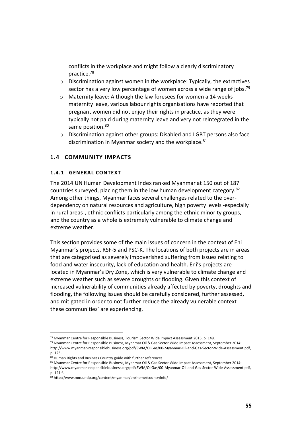conflicts in the workplace and might follow a clearly discriminatory practice.<sup>78</sup>

- o Discrimination against women in the workplace: Typically, the extractives sector has a very low percentage of women across a wide range of jobs.<sup>79</sup>
- o Maternity leave: Although the law foresees for women a 14 weeks maternity leave, various labour rights organisations have reported that pregnant women did not enjoy their rights in practice, as they were typically not paid during maternity leave and very not reintegrated in the same position.<sup>80</sup>
- o Discrimination against other groups: Disabled and LGBT persons also face discrimination in Myanmar society and the workplace.<sup>81</sup>

## <span id="page-54-0"></span>**1.4 COMMUNITY IMPACTS**

## <span id="page-54-1"></span>**1.4.1 GENERAL CONTEXT**

The 2014 UN Human Development Index ranked Myanmar at 150 out of 187 countries surveyed, placing them in the low human development category.<sup>82</sup> Among other things, Myanmar faces several challenges related to the overdependency on natural resources and agriculture, high poverty levels -especially in rural areas-, ethnic conflicts particularly among the ethnic minority groups, and the country as a whole is extremely vulnerable to climate change and extreme weather.

This section provides some of the main issues of concern in the context of Eni Myanmar's projects, RSF-5 and PSC-K. The locations of both projects are in areas that are categorised as severely impoverished suffering from issues relating to food and water insecurity, lack of education and health. Eni's projects are located in Myanmar's Dry Zone, which is very vulnerable to climate change and extreme weather such as severe droughts or flooding. Given this context of increased vulnerability of communities already affected by poverty, droughts and flooding, the following issues should be carefully considered, further assessed, and mitigated in order to not further reduce the already vulnerable context these communities' are experiencing.

 $78$  Myanmar Centre for Responsible Business, Tourism Sector Wide Impact Assessment 2015, p. 148.

<sup>79</sup> Myanmar Centre for Responsible Business, Myanmar Oil & Gas Sector Wide Impact Assessment, September 2014: http://www.myanmar-responsiblebusiness.org/pdf/SWIA/OilGas/00-Myanmar-Oil-and-Gas-Sector-Wide-Assessment.pdf, p. 125.

<sup>80</sup> Human Rights and Business Country guide with further references.

<sup>81</sup> Myanmar Centre for Responsible Business, Myanmar Oil & Gas Sector Wide Impact Assessment, September 2014: http://www.myanmar-responsiblebusiness.org/pdf/SWIA/OilGas/00-Myanmar-Oil-and-Gas-Sector-Wide-Assessment.pdf, p. 121 f.

<sup>82</sup> http://www.mm.undp.org/content/myanmar/en/home/countryinfo/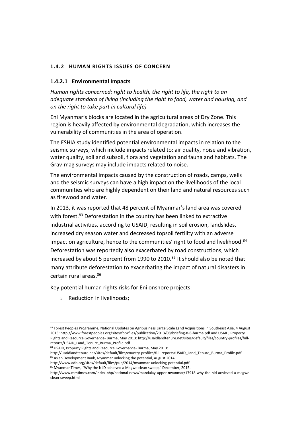# <span id="page-55-0"></span>**1.4.2 HUMAN RIGHTS ISSUES OF CONCERN**

# **1.4.2.1 Environmental Impacts**

*Human rights concerned: right to health, the right to life, the right to an adequate standard of living (including the right to food, water and housing, and on the right to take part in cultural life)*

Eni Myanmar's blocks are located in the agricultural areas of Dry Zone. This region is heavily affected by environmental degradation, which increases the vulnerability of communities in the area of operation.

The ESHIA study identified potential environmental impacts in relation to the seismic surveys, which include impacts related to: air quality, noise and vibration, water quality, soil and subsoil, flora and vegetation and fauna and habitats. The Grav-mag surveys may include impacts related to noise.

The environmental impacts caused by the construction of roads, camps, wells and the seismic surveys can have a high impact on the livelihoods of the local communities who are highly dependent on their land and natural resources such as firewood and water.

In 2013, it was reported that 48 percent of Myanmar's land area was covered with forest.<sup>83</sup> Deforestation in the country has been linked to extractive industrial activities, according to USAID, resulting in soil erosion, landslides, increased dry season water and decreased topsoil fertility with an adverse impact on agriculture, hence to the communities' right to food and livelihood.<sup>84</sup> Deforestation was reportedly also exacerbated by road constructions, which increased by about 5 percent from 1990 to 2010. $85$  It should also be noted that many attribute deforestation to exacerbating the impact of natural disasters in certain rural areas.<sup>86</sup>

Key potential human rights risks for Eni onshore projects:

o Reduction in livelihoods;

<sup>83</sup> Forest Peoples Programme, National Updates on Agribusiness Large Scale Land Acquisitions in Southeast Asia, 4 August 2013: http://www.forestpeoples.org/sites/fpp/files/publication/2013/08/briefing-8-8-burma.pdf and USAID, Property Rights and Resource Governance- Burma, May 2013: http://usaidlandtenure.net/sites/default/files/country-profiles/fullreports/USAID\_Land\_Tenure\_Burma\_Profile.pdf

<sup>84</sup> USAID, Property Rights and Resource Governance- Burma, May 2013:

http://usaidlandtenure.net/sites/default/files/country-profiles/full-reports/USAID\_Land\_Tenure\_Burma\_Profile.pdf 85 Asian Development Bank, Myanmar unlocking the potential, August 2014:

http://www.adb.org/sites/default/files/pub/2014/myanmar-unlocking-potential.pdf

<sup>86</sup> Myanmar Times, "Why the NLD achieved a Magwe clean sweep," December, 2015.

http://www.mmtimes.com/index.php/national-news/mandalay-upper-myanmar/17918-why-the-nld-achieved-a-magweclean-sweep.html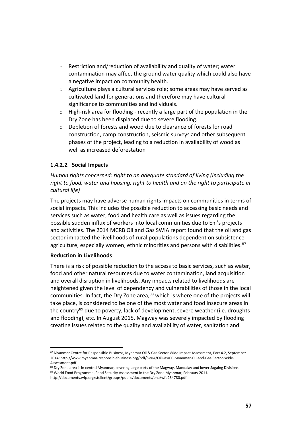- $\circ$  Restriction and/reduction of availability and quality of water; water contamination may affect the ground water quality which could also have a negative impact on community health.
- $\circ$  Agriculture plays a cultural services role; some areas may have served as cultivated land for generations and therefore may have cultural significance to communities and individuals.
- $\circ$  High-risk area for flooding recently a large part of the population in the Dry Zone has been displaced due to severe flooding.
- o Depletion of forests and wood due to clearance of forests for road construction, camp construction, seismic surveys and other subsequent phases of the project, leading to a reduction in availability of wood as well as increased deforestation

# **1.4.2.2 Social Impacts**

*Human rights concerned: right to an adequate standard of living (including the right to food, water and housing, right to health and on the right to participate in cultural life)*

The projects may have adverse human rights impacts on communities in terms of social impacts. This includes the possible reduction to accessing basic needs and services such as water, food and health care as well as issues regarding the possible sudden influx of workers into local communities due to Eni's projects and activities. The 2014 MCRB Oil and Gas SWIA report found that the oil and gas sector impacted the livelihoods of rural populations dependent on subsistence agriculture, especially women, ethnic minorities and persons with disabilities. $87$ 

## **Reduction in Livelihoods**

 $\overline{a}$ 

There is a risk of possible reduction to the access to basic services, such as water, food and other natural resources due to water contamination, land acquisition and overall disruption in livelihoods. Any impacts related to livelihoods are heightened given the level of dependency and vulnerabilities of those in the local communities. In fact, the Dry Zone area,<sup>88</sup> which is where one of the projects will take place, is considered to be one of the most water and food insecure areas in the country<sup>89</sup> due to poverty, lack of development, severe weather (i.e. droughts and flooding), etc. In August 2015, Magway was severely impacted by flooding creating issues related to the quality and availability of water, sanitation and

<sup>87</sup> Myanmar Centre for Responsible Business, Myanmar Oil & Gas Sector Wide Impact Assessment, Part 4.2, September 2014: http://www.myanmar-responsiblebusiness.org/pdf/SWIA/OilGas/00-Myanmar-Oil-and-Gas-Sector-Wide-Assessment.pdf

<sup>88</sup> Dry Zone area is in central Myanmar, covering large parts of the Magway, Mandalay and lower Sagaing Divisions 89 World Food Programme, Food Security Assessment in the Dry Zone Myanmar, February 2011.

http://documents.wfp.org/stellent/groups/public/documents/ena/wfp234780.pdf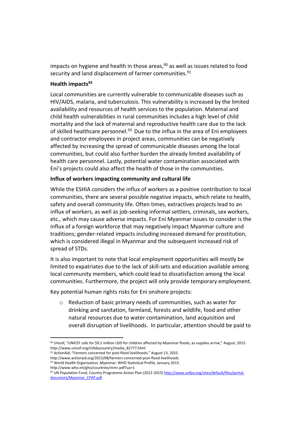impacts on hygiene and health in those areas, <sup>90</sup> as well as issues related to food security and land displacement of farmer communities.<sup>91</sup>

## **Health impacts<sup>92</sup>**

Local communities are currently vulnerable to communicable diseases such as HIV/AIDS, malaria, and tuberculosis. This vulnerability is increased by the limited availability and resources of health services to the population. Maternal and child health vulnerabilities in rural communities includes a high level of child mortality and the lack of maternal and reproductive health care due to the lack of skilled healthcare personnel. $93$  Due to the influx in the area of Eni employees and contractor employees in project areas, communities can be negatively affected by increasing the spread of communicable diseases among the local communities, but could also further burden the already limited availability of health care personnel. Lastly, potential water contamination associated with Eni's projects could also affect the health of those in the communities.

## **Influx of workers impacting community and cultural life**

While the ESHIA considers the influx of workers as a positive contribution to local communities, there are several possible negative impacts, which relate to health, safety and overall community life. Often times, extractives projects lead to an influx of workers, as well as job-seeking informal settlers, criminals, sex workers, etc., which may cause adverse impacts. For Eni Myanmar issues to consider is the influx of a foreign workforce that may negatively impact Myanmar culture and traditions; gender-related impacts including increased demand for prostitution, which is considered illegal in Myanmar and the subsequent increased risk of spread of STDs.

It is also important to note that local employment opportunities will mostly be limited to expatriates due to the lack of skill-sets and education available among local community members, which could lead to dissatisfaction among the local communities. Furthermore, the project will only provide temporary employment.

Key potential human rights risks for Eni onshore projects:

o Reduction of basic primary needs of communities, such as water for drinking and sanitation, farmland, forests and wildlife, food and other natural resources due to water contamination, land acquisition and overall disruption of livelihoods. In particular, attention should be paid to

<sup>90</sup> Unicef, "UNICEF calls for \$9.2 million USD for children affected by Myanmar floods, as supplies arrive," August, 2015. http://www.unicef.org/infobycountry/media\_82777.html

92 World Health Organisation, Myanmar: WHO Statistical Profile, January 2015.

<sup>91</sup> ActionAid, "Farmers concerned for post-flood livelihoods," August 13, 2015.

http://www.actionaid.org/2015/08/farmers-concerned-post-flood-livelihoods

http://www.who.int/gho/countries/mmr.pdf?ua=1

<sup>93</sup> UN Population Fund, Country Programme Action Plan (2012-2015[\) http://www.unfpa.org/sites/default/files/portal](http://www.unfpa.org/sites/default/files/portal-document/Myanmar_CPAP.pdf)[document/Myanmar\\_CPAP.pdf](http://www.unfpa.org/sites/default/files/portal-document/Myanmar_CPAP.pdf)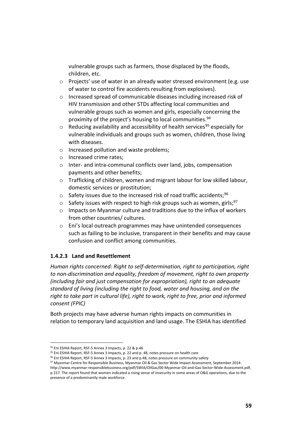vulnerable groups such as farmers, those displaced by the floods, children, etc.

- o Projects' use of water in an already water stressed environment (e.g. use of water to control fire accidents resulting from explosives).
- o Increased spread of communicable diseases including increased risk of HIV transmission and other STDs affecting local communities and vulnerable groups such as women and girls, especially concerning the proximity of the project's housing to local communities.<sup>94</sup>
- $\circ$  Reducing availability and accessibility of health services<sup>95</sup> especially for vulnerable individuals and groups such as women, children, those living with diseases.
- o Increased pollution and waste problems;
- o Increased crime rates;
- o Inter- and intra-communal conflicts over land, jobs, compensation payments and other benefits;
- o Trafficking of children, women and migrant labour for low skilled labour, domestic services or prostitution;
- $\circ$  Safety issues due to the increased risk of road traffic accidents;<sup>96</sup>
- $\circ$  Safety issues with respect to high risk groups such as women, girls;<sup>97</sup>
- $\circ$  Impacts on Myanmar culture and traditions due to the influx of workers from other countries/ cultures.
- o Eni's local outreach programmes may have unintended consequences such as failing to be inclusive, transparent in their benefits and may cause confusion and conflict among communities.

# **1.4.2.3 Land and Resettlement**

*Human rights concerned: Right to self-determination, right to participation, right to non-discrimination and equality, freedom of movement, right to own property (including fair and just compensation for expropriation), right to an adequate standard of living (including the right to food, water and housing, and on the right to take part in cultural life), right to work, right to free, prior and informed consent (FPIC)*

Both projects may have adverse human rights impacts on communities in relation to temporary land acquisition and land usage. The ESHIA has identified

presence of a predominantly male workforce.

 $\overline{a}$ 94 Eni ESHIA Report, RSF-5 Annex 3 Impacts, p. 22 & p.46

<sup>95</sup> Eni ESHIA Report, RSF-5 Annex 3 Impacts, p. 22 and p. 48, notes pressure on health care

 $96$  Eni ESHIA Report, RSF-5 Annex 3 Impacts, p. 23 and p.48, notes pressure on community safety

<sup>97</sup> Myanmar Centre for Responsible Business, Myanmar Oil & Gas Sector Wide Impact Assessment, September 2014: http://www.myanmar-responsiblebusiness.org/pdf/SWIA/OilGas/00-Myanmar-Oil-and-Gas-Sector-Wide-Assessment.pdf, p.157. The report found that women indicated a rising sense of insecurity in some areas of O&G operations, due to the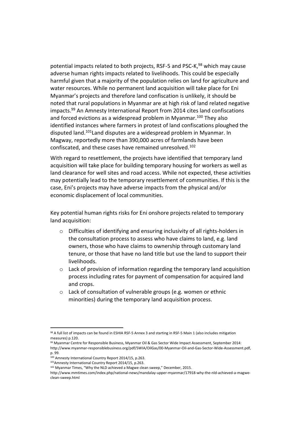potential impacts related to both projects, RSF-5 and PSC-K.<sup>98</sup> which may cause adverse human rights impacts related to livelihoods. This could be especially harmful given that a majority of the population relies on land for agriculture and water resources. While no permanent land acquisition will take place for Eni Myanmar's projects and therefore land confiscation is unlikely, it should be noted that rural populations in Myanmar are at high risk of land related negative impacts.<sup>99</sup> An Amnesty International Report from 2014 cites land confiscations and forced evictions as a widespread problem in Myanmar.<sup>100</sup> They also identified instances where farmers in protest of land confiscations ploughed the disputed land.<sup>101</sup>Land disputes are a widespread problem in Myanmar. In Magway, reportedly more than 390,000 acres of farmlands have been confiscated, and these cases have remained unresolved.<sup>102</sup>

With regard to resettlement, the projects have identified that temporary land acquisition will take place for building temporary housing for workers as well as land clearance for well sites and road access. While not expected, these activities may potentially lead to the temporary resettlement of communities. If this is the case, Eni's projects may have adverse impacts from the physical and/or economic displacement of local communities.

Key potential human rights risks for Eni onshore projects related to temporary land acquisition:

- $\circ$  Difficulties of identifying and ensuring inclusivity of all rights-holders in the consultation process to assess who have claims to land, e.g. land owners, those who have claims to ownership through customary land tenure, or those that have no land title but use the land to support their livelihoods.
- $\circ$  Lack of provision of information regarding the temporary land acquisition process including rates for payment of compensation for acquired land and crops.
- o Lack of consultation of vulnerable groups (e.g. women or ethnic minorities) during the temporary land acquisition process.

<sup>98</sup> A full list of impacts can be found in ESHIA RSF-5 Annex 3 and starting in RSF-5 Main 1 (also includes mitigation measures) p.120.

<sup>99</sup> Myanmar Centre for Responsible Business, Myanmar Oil & Gas Sector Wide Impact Assessment, September 2014: http://www.myanmar-responsiblebusiness.org/pdf/SWIA/OilGas/00-Myanmar-Oil-and-Gas-Sector-Wide-Assessment.pdf, p. 99.

<sup>100</sup> Amnesty International Country Report 2014/15, p.263.

<sup>101</sup>Amnesty International Country Report 2014/15, p.263.

<sup>102</sup> Myanmar Times, "Why the NLD achieved a Magwe clean sweep," December, 2015.

http://www.mmtimes.com/index.php/national-news/mandalay-upper-myanmar/17918-why-the-nld-achieved-a-magweclean-sweep.html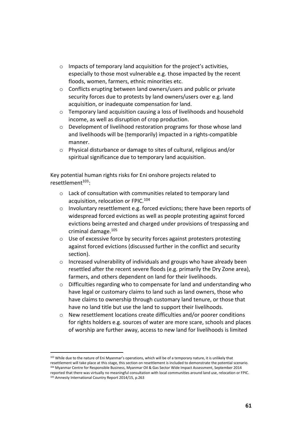- o Impacts of temporary land acquisition for the project's activities, especially to those most vulnerable e.g. those impacted by the recent floods, women, farmers, ethnic minorities etc.
- o Conflicts erupting between land owners/users and public or private security forces due to protests by land owners/users over e.g. land acquisition, or inadequate compensation for land.
- $\circ$  Temporary land acquisition causing a loss of livelihoods and household income, as well as disruption of crop production.
- o Development of livelihood restoration programs for those whose land and livelihoods will be (temporarily) impacted in a rights-compatible manner.
- o Physical disturbance or damage to sites of cultural, religious and/or spiritual significance due to temporary land acquisition.

Key potential human rights risks for Eni onshore projects related to resettlement<sup>103</sup>:

- o Lack of consultation with communities related to temporary land acquisition, relocation or FPIC.<sup>104</sup>
- $\circ$  Involuntary resettlement e.g. forced evictions; there have been reports of widespread forced evictions as well as people protesting against forced evictions being arrested and charged under provisions of trespassing and criminal damage.<sup>105</sup>
- o Use of excessive force by security forces against protesters protesting against forced evictions (discussed further in the conflict and security section).
- o Increased vulnerability of individuals and groups who have already been resettled after the recent severe floods (e.g. primarily the Dry Zone area), farmers, and others dependent on land for their livelihoods.
- o Difficulties regarding who to compensate for land and understanding who have legal or customary claims to land such as land owners, those who have claims to ownership through customary land tenure, or those that have no land title but use the land to support their livelihoods.
- o New resettlement locations create difficulties and/or poorer conditions for rights holders e.g. sources of water are more scare, schools and places of worship are further away, access to new land for livelihoods is limited

 $\overline{a}$ <sup>103</sup> While due to the nature of Eni Myanmar's operations, which will be of a temporary nature, it is unlikely that

resettlement will take place at this stage, this section on resettlement is included to demonstrate the potential scenario. <sup>104</sup> Myanmar Centre for Responsible Business, Myanmar Oil & Gas Sector Wide Impact Assessment, September 2014

reported that there was virtually no meaningful consultation with local communities around land use, relocation or FPIC. <sup>105</sup> Amnesty International Country Report 2014/15, p.263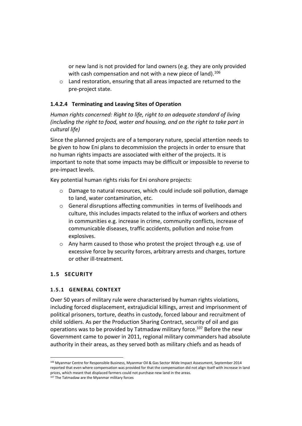or new land is not provided for land owners (e.g. they are only provided with cash compensation and not with a new piece of land).<sup>106</sup>

o Land restoration, ensuring that all areas impacted are returned to the pre-project state.

# **1.4.2.4 Terminating and Leaving Sites of Operation**

*Human rights concerned: Right to life, right to an adequate standard of living (including the right to food, water and housing, and on the right to take part in cultural life)*

Since the planned projects are of a temporary nature, special attention needs to be given to how Eni plans to decommission the projects in order to ensure that no human rights impacts are associated with either of the projects. It is important to note that some impacts may be difficult or impossible to reverse to pre-impact levels.

Key potential human rights risks for Eni onshore projects:

- o Damage to natural resources, which could include soil pollution, damage to land, water contamination, etc.
- o General disruptions affecting communities in terms of livelihoods and culture, this includes impacts related to the influx of workers and others in communities e.g. increase in crime, community conflicts, increase of communicable diseases, traffic accidents, pollution and noise from explosives.
- o Any harm caused to those who protest the project through e.g. use of excessive force by security forces, arbitrary arrests and charges, torture or other ill-treatment.

# <span id="page-61-0"></span>**1.5 SECURITY**

 $\overline{a}$ 

# <span id="page-61-1"></span>**1.5.1 GENERAL CONTEXT**

Over 50 years of military rule were characterised by human rights violations, including forced displacement, extrajudicial killings, arrest and imprisonment of political prisoners, torture, deaths in custody, forced labour and recruitment of child soldiers. As per the Production Sharing Contract, security of oil and gas operations was to be provided by Tatmadaw military force.<sup>107</sup> Before the new Government came to power in 2011, regional military commanders had absolute authority in their areas, as they served both as military chiefs and as heads of

<sup>106</sup> Myanmar Centre for Responsible Business, Myanmar Oil & Gas Sector Wide Impact Assessment, September 2014 reported that even where compensation was provided for that the compensation did not align itself with increase in land prices, which meant that displaced farmers could not purchase new land in the areas.

<sup>&</sup>lt;sup>107</sup> The Tatmadaw are the Myanmar military forces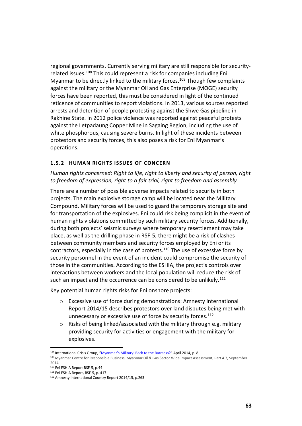regional governments. Currently serving military are still responsible for securityrelated issues.<sup>108</sup> This could represent a risk for companies including Eni Myanmar to be directly linked to the military forces.<sup>109</sup> Though few complaints against the military or the Myanmar Oil and Gas Enterprise (MOGE) security forces have been reported, this must be considered in light of the continued reticence of communities to report violations. In 2013, various sources reported arrests and detention of people protesting against the Shwe Gas pipeline in Rakhine State. In 2012 police violence was reported against peaceful protests against the Letpadaung Copper Mine in Sagaing Region, including the use of white phosphorous, causing severe burns. In light of these incidents between protestors and security forces, this also poses a risk for Eni Myanmar's operations.

#### <span id="page-62-0"></span>**1.5.2 HUMAN RIGHTS ISSUES OF CONCERN**

*Human rights concerned: Right to life, right to liberty and security of person, right to freedom of expression, right to a fair trial, right to freedom and assembly*

There are a number of possible adverse impacts related to security in both projects. The main explosive storage camp will be located near the Military Compound. Military forces will be used to guard the temporary storage site and for transportation of the explosives. Eni could risk being complicit in the event of human rights violations committed by such military security forces. Additionally, during both projects' seismic surveys where temporary resettlement may take place, as well as the drilling phase in RSF-5, there might be a risk of clashes between community members and security forces employed by Eni or its contractors, especially in the case of protests. $110$  The use of excessive force by security personnel in the event of an incident could compromise the security of those in the communities. According to the ESHIA, the project's controls over interactions between workers and the local population will reduce the risk of such an impact and the occurrence can be considered to be unlikely.<sup>111</sup>

Key potential human rights risks for Eni onshore projects:

- o Excessive use of force during demonstrations: Amnesty International Report 2014/15 describes protestors over land disputes being met with unnecessary or excessive use of force by security forces.<sup>112</sup>
- o Risks of being linked/associated with the military through e.g. military providing security for activities or engagement with the military for explosives.

<sup>&</sup>lt;sup>108</sup> International Crisis Group, "Myanmar's Military: Back to the Barracks?" April 2014, p. 8

<sup>109</sup> Myanmar Centre for Responsible Business, Myanmar Oil & Gas Sector Wide Impact Assessment, Part 4.7, September 2014

<sup>110</sup> Eni ESHIA Report RSF-5, p.44

<sup>111</sup> Eni ESHIA Report, RSF-5, p. 417

<sup>112</sup> Amnesty International Country Report 2014/15, p.263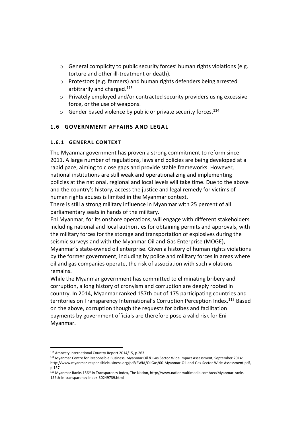- o General complicity to public security forces' human rights violations (e.g. torture and other ill-treatment or death).
- o Protestors (e.g. farmers) and human rights defenders being arrested arbitrarily and charged.<sup>113</sup>
- o Privately employed and/or contracted security providers using excessive force, or the use of weapons.
- $\circ$  Gender based violence by public or private security forces.<sup>114</sup>

# <span id="page-63-0"></span>**1.6 GOVERNMENT AFFAIRS AND LEGAL**

# <span id="page-63-1"></span>**1.6.1 GENERAL CONTEXT**

The Myanmar government has proven a strong commitment to reform since 2011. A large number of regulations, laws and policies are being developed at a rapid pace, aiming to close gaps and provide stable frameworks. However, national institutions are still weak and operationalizing and implementing policies at the national, regional and local levels will take time. Due to the above and the country's history, access the justice and legal remedy for victims of human rights abuses is limited in the Myanmar context.

There is still a strong military influence in Myanmar with 25 percent of all parliamentary seats in hands of the military.

Eni Myanmar, for its onshore operations, will engage with different stakeholders including national and local authorities for obtaining permits and approvals, with the military forces for the storage and transportation of explosives during the seismic surveys and with the Myanmar Oil and Gas Enterprise (MOGE), Myanmar's state-owned oil enterprise. Given a history of human rights violations by the former government, including by police and military forces in areas where oil and gas companies operate, the risk of association with such violations remains.

While the Myanmar government has committed to eliminating bribery and corruption, a long history of cronyism and corruption are deeply rooted in country. In 2014, Myanmar ranked 157th out of 175 participating countries and territories on Transparency International's Corruption Perception Index.<sup>115</sup> Based on the above, corruption though the requests for bribes and facilitation payments by government officials are therefore pose a valid risk for Eni Myanmar.

 $\overline{a}$ <sup>113</sup> Amnesty International Country Report 2014/15, p.263

<sup>114</sup> Myanmar Centre for Responsible Business, Myanmar Oil & Gas Sector Wide Impact Assessment, September 2014: http://www.myanmar-responsiblebusiness.org/pdf/SWIA/OilGas/00-Myanmar-Oil-and-Gas-Sector-Wide-Assessment.pdf, p.157

<sup>115</sup> Myanmar Ranks 156th in Transparency Index, The Nation, http://www.nationmultimedia.com/aec/Myanmar-ranks-156th-in-transparency-index-30249739.html